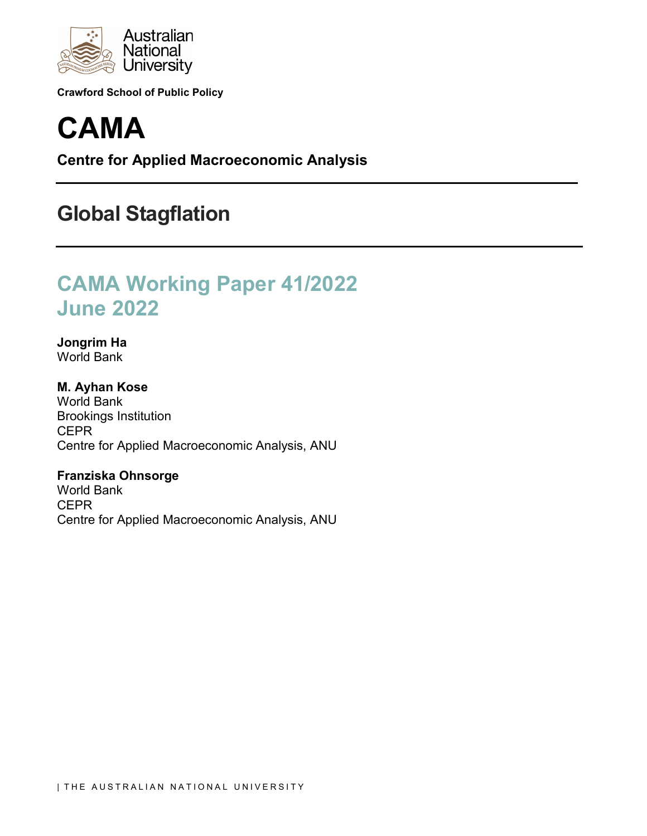

**Crawford School of Public Policy**

# **CAMA**

**Centre for Applied Macroeconomic Analysis**

## **Global Stagflation**

## **CAMA Working Paper 41/2022 June 2022**

**Jongrim Ha** World Bank

**M. Ayhan Kose** World Bank Brookings Institution **CEPR** Centre for Applied Macroeconomic Analysis, ANU

**Franziska Ohnsorge** World Bank **CEPR** Centre for Applied Macroeconomic Analysis, ANU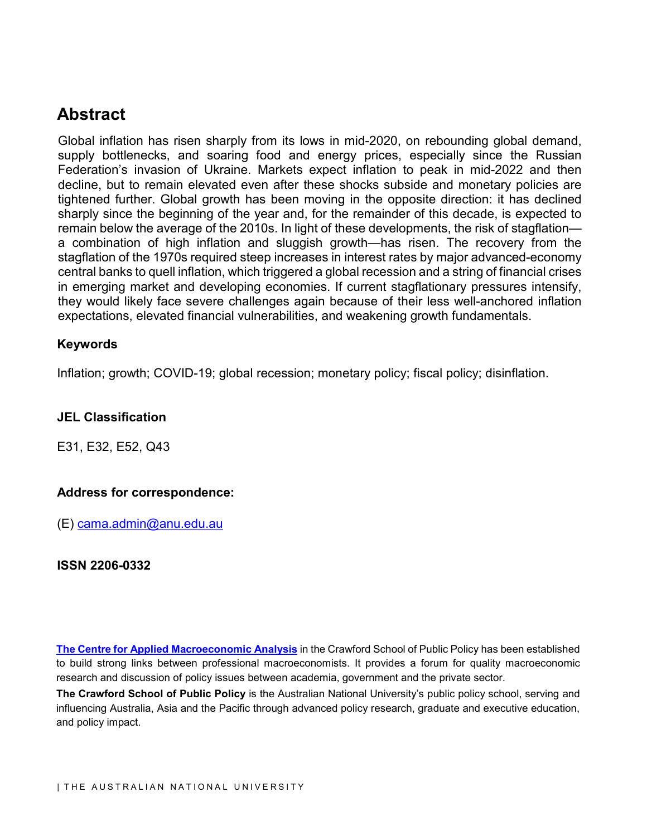## **Abstract**

Global inflation has risen sharply from its lows in mid-2020, on rebounding global demand, supply bottlenecks, and soaring food and energy prices, especially since the Russian Federation's invasion of Ukraine. Markets expect inflation to peak in mid-2022 and then decline, but to remain elevated even after these shocks subside and monetary policies are tightened further. Global growth has been moving in the opposite direction: it has declined sharply since the beginning of the year and, for the remainder of this decade, is expected to remain below the average of the 2010s. In light of these developments, the risk of stagflation a combination of high inflation and sluggish growth—has risen. The recovery from the stagflation of the 1970s required steep increases in interest rates by major advanced-economy central banks to quell inflation, which triggered a global recession and a string of financial crises in emerging market and developing economies. If current stagflationary pressures intensify, they would likely face severe challenges again because of their less well-anchored inflation expectations, elevated financial vulnerabilities, and weakening growth fundamentals.

## **Keywords**

Inflation; growth; COVID-19; global recession; monetary policy; fiscal policy; disinflation.

## **JEL Classification**

E31, E32, E52, Q43

## **Address for correspondence:**

(E) [cama.admin@anu.edu.au](mailto:cama.admin@anu.edu.au)

#### **ISSN 2206-0332**

**[The Centre for Applied Macroeconomic Analysis](http://cama.crawford.anu.edu.au/)** in the Crawford School of Public Policy has been established to build strong links between professional macroeconomists. It provides a forum for quality macroeconomic research and discussion of policy issues between academia, government and the private sector.

**The Crawford School of Public Policy** is the Australian National University's public policy school, serving and influencing Australia, Asia and the Pacific through advanced policy research, graduate and executive education, and policy impact.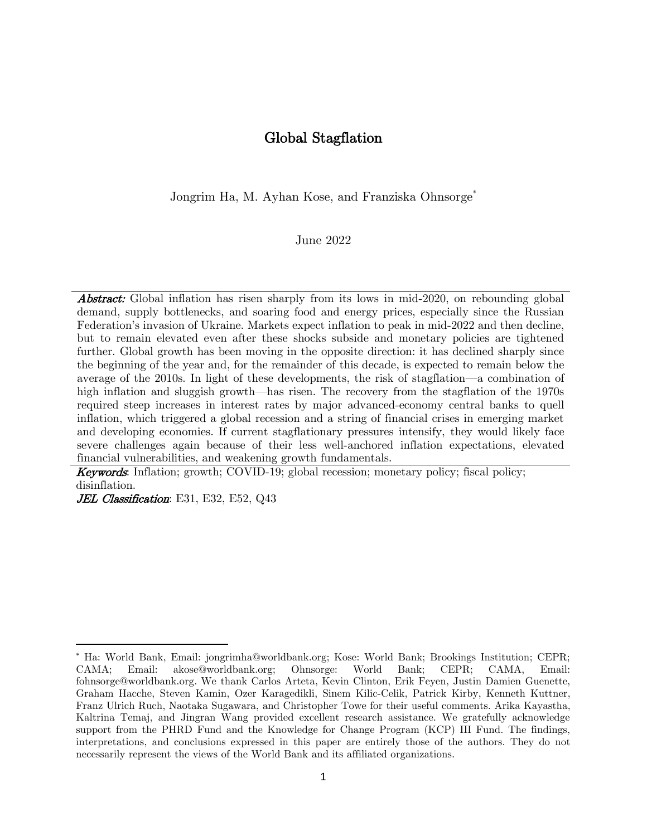## Global Stagflation

Jongrim Ha, M. Ayhan Kose, and Franziska Ohnsorge<sup>\*</sup>

June 2022

**Abstract:** Global inflation has risen sharply from its lows in mid-2020, on rebounding global demand, supply bottlenecks, and soaring food and energy prices, especially since the Russian Federation's invasion of Ukraine. Markets expect inflation to peak in mid-2022 and then decline, but to remain elevated even after these shocks subside and monetary policies are tightened further. Global growth has been moving in the opposite direction: it has declined sharply since the beginning of the year and, for the remainder of this decade, is expected to remain below the average of the 2010s. In light of these developments, the risk of stagflation—a combination of high inflation and sluggish growth—has risen. The recovery from the stagflation of the 1970s required steep increases in interest rates by major advanced-economy central banks to quell inflation, which triggered a global recession and a string of financial crises in emerging market and developing economies. If current stagflationary pressures intensify, they would likely face severe challenges again because of their less well-anchored inflation expectations, elevated financial vulnerabilities, and weakening growth fundamentals.

Keywords: Inflation; growth; COVID-19; global recession; monetary policy; fiscal policy; disinflation.

JEL Classification: E31, E32, E52, Q43

Ha: World Bank, Email: jongrimha@worldbank.org; Kose: World Bank; Brookings Institution; CEPR; CAMA; Email: akose@worldbank.org; Ohnsorge: World Bank; CEPR; CAMA, Email: fohnsorge@worldbank.org. We thank Carlos Arteta, Kevin Clinton, Erik Feyen, Justin Damien Guenette, Graham Hacche, Steven Kamin, Ozer Karagedikli, Sinem Kilic-Celik, Patrick Kirby, Kenneth Kuttner, Franz Ulrich Ruch, Naotaka Sugawara, and Christopher Towe for their useful comments. Arika Kayastha, Kaltrina Temaj, and Jingran Wang provided excellent research assistance. We gratefully acknowledge support from the PHRD Fund and the Knowledge for Change Program (KCP) III Fund. The findings, interpretations, and conclusions expressed in this paper are entirely those of the authors. They do not necessarily represent the views of the World Bank and its affiliated organizations.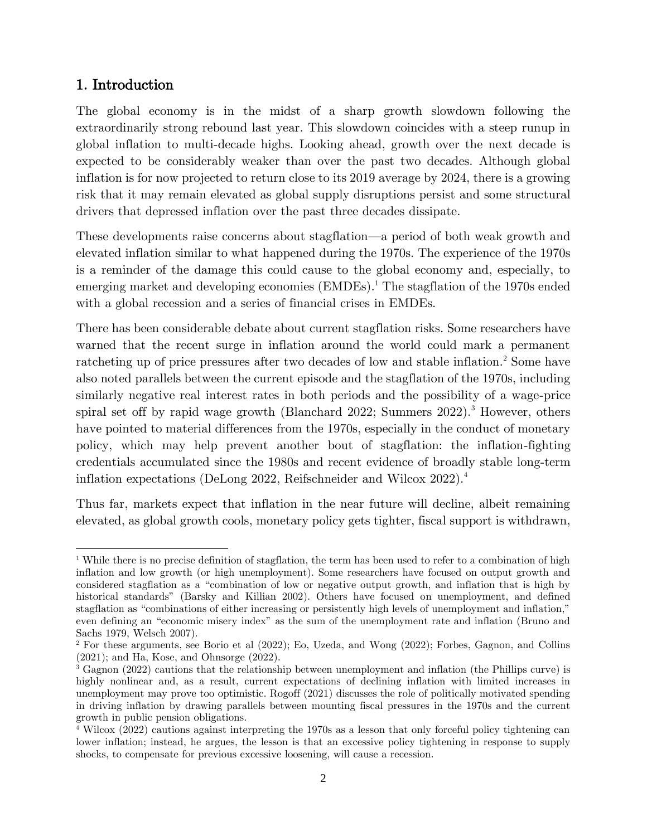## 1. Introduction

The global economy is in the midst of a sharp growth slowdown following the extraordinarily strong rebound last year. This slowdown coincides with a steep runup in global inflation to multi-decade highs. Looking ahead, growth over the next decade is expected to be considerably weaker than over the past two decades. Although global inflation is for now projected to return close to its 2019 average by 2024, there is a growing risk that it may remain elevated as global supply disruptions persist and some structural drivers that depressed inflation over the past three decades dissipate.

These developments raise concerns about stagflation—a period of both weak growth and elevated inflation similar to what happened during the 1970s. The experience of the 1970s is a reminder of the damage this could cause to the global economy and, especially, to emerging market and developing economies (EMDEs).<sup>1</sup> The stagflation of the 1970s ended with a global recession and a series of financial crises in EMDEs.

There has been considerable debate about current stagflation risks. Some researchers have warned that the recent surge in inflation around the world could mark a permanent ratcheting up of price pressures after two decades of low and stable inflation.<sup>2</sup> Some have also noted parallels between the current episode and the stagflation of the 1970s, including similarly negative real interest rates in both periods and the possibility of a wage-price spiral set off by rapid wage growth (Blanchard 2022; Summers 2022).<sup>3</sup> However, others have pointed to material differences from the 1970s, especially in the conduct of monetary policy, which may help prevent another bout of stagflation: the inflation-fighting credentials accumulated since the 1980s and recent evidence of broadly stable long-term inflation expectations (DeLong 2022, Reifschneider and Wilcox 2022).<sup>4</sup>

Thus far, markets expect that inflation in the near future will decline, albeit remaining elevated, as global growth cools, monetary policy gets tighter, fiscal support is withdrawn,

<sup>&</sup>lt;sup>1</sup> While there is no precise definition of stagflation, the term has been used to refer to a combination of high inflation and low growth (or high unemployment). Some researchers have focused on output growth and considered stagflation as a "combination of low or negative output growth, and inflation that is high by historical standards" (Barsky and Killian 2002). Others have focused on unemployment, and defined stagflation as "combinations of either increasing or persistently high levels of unemployment and inflation," even defining an "economic misery index" as the sum of the unemployment rate and inflation (Bruno and Sachs 1979, Welsch 2007).

<sup>2</sup> For these arguments, see Borio et al (2022); Eo, Uzeda, and Wong (2022); Forbes, Gagnon, and Collins (2021); and Ha, Kose, and Ohnsorge (2022).

<sup>3</sup> Gagnon (2022) cautions that the relationship between unemployment and inflation (the Phillips curve) is highly nonlinear and, as a result, current expectations of declining inflation with limited increases in unemployment may prove too optimistic. Rogoff (2021) discusses the role of politically motivated spending in driving inflation by drawing parallels between mounting fiscal pressures in the 1970s and the current growth in public pension obligations.

<sup>4</sup> Wilcox (2022) cautions against interpreting the 1970s as a lesson that only forceful policy tightening can lower inflation; instead, he argues, the lesson is that an excessive policy tightening in response to supply shocks, to compensate for previous excessive loosening, will cause a recession.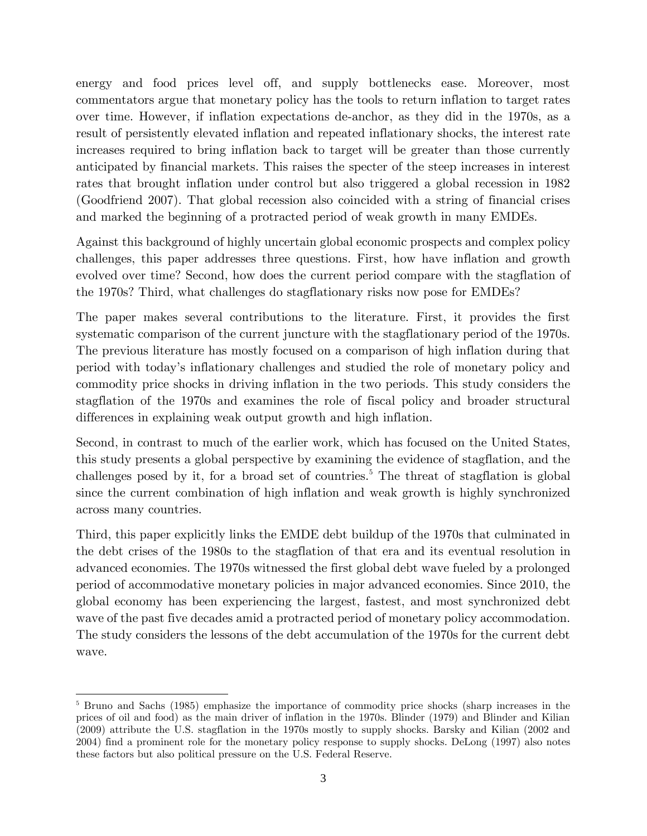energy and food prices level off, and supply bottlenecks ease. Moreover, most commentators argue that monetary policy has the tools to return inflation to target rates over time. However, if inflation expectations de-anchor, as they did in the 1970s, as a result of persistently elevated inflation and repeated inflationary shocks, the interest rate increases required to bring inflation back to target will be greater than those currently anticipated by financial markets. This raises the specter of the steep increases in interest rates that brought inflation under control but also triggered a global recession in 1982 (Goodfriend 2007). That global recession also coincided with a string of financial crises and marked the beginning of a protracted period of weak growth in many EMDEs.

Against this background of highly uncertain global economic prospects and complex policy challenges, this paper addresses three questions. First, how have inflation and growth evolved over time? Second, how does the current period compare with the stagflation of the 1970s? Third, what challenges do stagflationary risks now pose for EMDEs?

The paper makes several contributions to the literature. First, it provides the first systematic comparison of the current juncture with the stagflationary period of the 1970s. The previous literature has mostly focused on a comparison of high inflation during that period with today's inflationary challenges and studied the role of monetary policy and commodity price shocks in driving inflation in the two periods. This study considers the stagflation of the 1970s and examines the role of fiscal policy and broader structural differences in explaining weak output growth and high inflation.

Second, in contrast to much of the earlier work, which has focused on the United States, this study presents a global perspective by examining the evidence of stagflation, and the challenges posed by it, for a broad set of countries.<sup>5</sup> The threat of stagflation is global since the current combination of high inflation and weak growth is highly synchronized across many countries.

Third, this paper explicitly links the EMDE debt buildup of the 1970s that culminated in the debt crises of the 1980s to the stagflation of that era and its eventual resolution in advanced economies. The 1970s witnessed the first global debt wave fueled by a prolonged period of accommodative monetary policies in major advanced economies. Since 2010, the global economy has been experiencing the largest, fastest, and most synchronized debt wave of the past five decades amid a protracted period of monetary policy accommodation. The study considers the lessons of the debt accumulation of the 1970s for the current debt wave.

<sup>&</sup>lt;sup>5</sup> Bruno and Sachs (1985) emphasize the importance of commodity price shocks (sharp increases in the prices of oil and food) as the main driver of inflation in the 1970s. Blinder (1979) and Blinder and Kilian (2009) attribute the U.S. stagflation in the 1970s mostly to supply shocks. Barsky and Kilian (2002 and 2004) find a prominent role for the monetary policy response to supply shocks. DeLong (1997) also notes these factors but also political pressure on the U.S. Federal Reserve.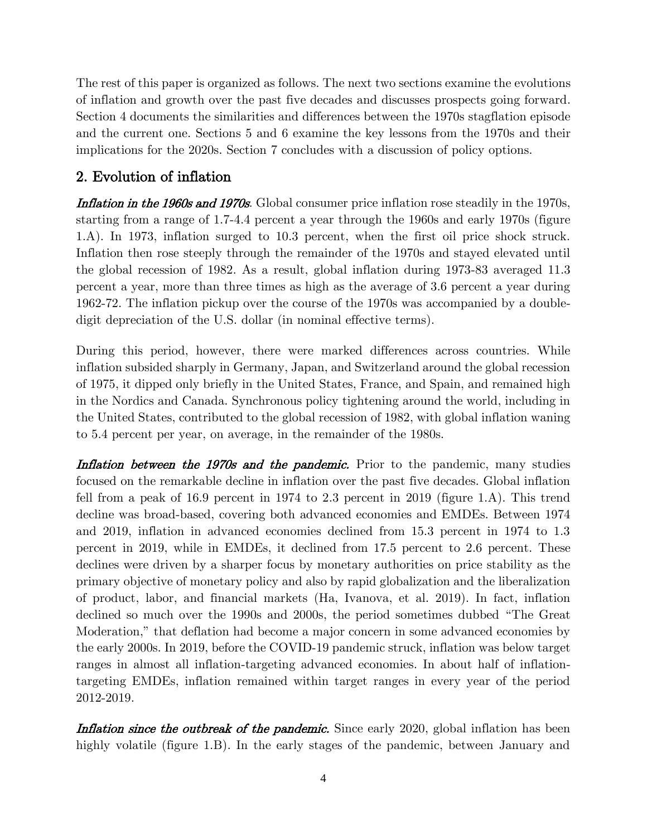The rest of this paper is organized as follows. The next two sections examine the evolutions of inflation and growth over the past five decades and discusses prospects going forward. Section 4 documents the similarities and differences between the 1970s stagflation episode and the current one. Sections 5 and 6 examine the key lessons from the 1970s and their implications for the 2020s. Section 7 concludes with a discussion of policy options.

## 2. Evolution of inflation

Inflation in the 1960s and 1970s. Global consumer price inflation rose steadily in the 1970s, starting from a range of 1.7-4.4 percent a year through the 1960s and early 1970s (figure 1.A). In 1973, inflation surged to 10.3 percent, when the first oil price shock struck. Inflation then rose steeply through the remainder of the 1970s and stayed elevated until the global recession of 1982. As a result, global inflation during 1973-83 averaged 11.3 percent a year, more than three times as high as the average of 3.6 percent a year during 1962-72. The inflation pickup over the course of the 1970s was accompanied by a doubledigit depreciation of the U.S. dollar (in nominal effective terms).

During this period, however, there were marked differences across countries. While inflation subsided sharply in Germany, Japan, and Switzerland around the global recession of 1975, it dipped only briefly in the United States, France, and Spain, and remained high in the Nordics and Canada. Synchronous policy tightening around the world, including in the United States, contributed to the global recession of 1982, with global inflation waning to 5.4 percent per year, on average, in the remainder of the 1980s.

Inflation between the 1970s and the pandemic. Prior to the pandemic, many studies focused on the remarkable decline in inflation over the past five decades. Global inflation fell from a peak of 16.9 percent in 1974 to 2.3 percent in 2019 (figure 1.A). This trend decline was broad-based, covering both advanced economies and EMDEs. Between 1974 and 2019, inflation in advanced economies declined from 15.3 percent in 1974 to 1.3 percent in 2019, while in EMDEs, it declined from 17.5 percent to 2.6 percent. These declines were driven by a sharper focus by monetary authorities on price stability as the primary objective of monetary policy and also by rapid globalization and the liberalization of product, labor, and financial markets (Ha, Ivanova, et al. 2019). In fact, inflation declined so much over the 1990s and 2000s, the period sometimes dubbed "The Great Moderation," that deflation had become a major concern in some advanced economies by the early 2000s. In 2019, before the COVID-19 pandemic struck, inflation was below target ranges in almost all inflation-targeting advanced economies. In about half of inflationtargeting EMDEs, inflation remained within target ranges in every year of the period 2012-2019.

**Inflation since the outbreak of the pandemic.** Since early 2020, global inflation has been highly volatile (figure 1.B). In the early stages of the pandemic, between January and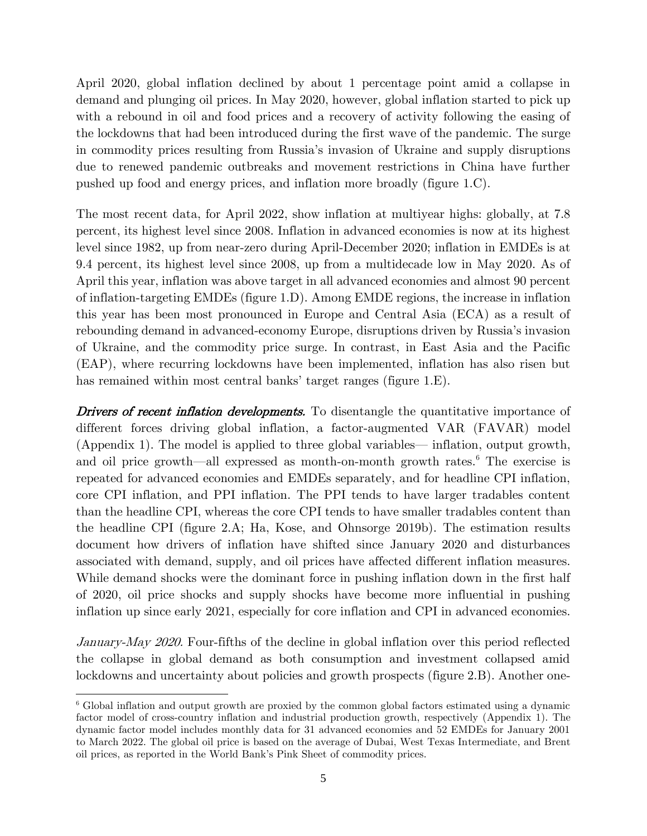April 2020, global inflation declined by about 1 percentage point amid a collapse in demand and plunging oil prices. In May 2020, however, global inflation started to pick up with a rebound in oil and food prices and a recovery of activity following the easing of the lockdowns that had been introduced during the first wave of the pandemic. The surge in commodity prices resulting from Russia's invasion of Ukraine and supply disruptions due to renewed pandemic outbreaks and movement restrictions in China have further pushed up food and energy prices, and inflation more broadly (figure 1.C).

The most recent data, for April 2022, show inflation at multiyear highs: globally, at 7.8 percent, its highest level since 2008. Inflation in advanced economies is now at its highest level since 1982, up from near-zero during April-December 2020; inflation in EMDEs is at 9.4 percent, its highest level since 2008, up from a multidecade low in May 2020. As of April this year, inflation was above target in all advanced economies and almost 90 percent of inflation-targeting EMDEs (figure 1.D). Among EMDE regions, the increase in inflation this year has been most pronounced in Europe and Central Asia (ECA) as a result of rebounding demand in advanced-economy Europe, disruptions driven by Russia's invasion of Ukraine, and the commodity price surge. In contrast, in East Asia and the Pacific (EAP), where recurring lockdowns have been implemented, inflation has also risen but has remained within most central banks' target ranges (figure 1.E).

**Drivers of recent inflation developments.** To disentangle the quantitative importance of different forces driving global inflation, a factor-augmented VAR (FAVAR) model (Appendix 1). The model is applied to three global variables— inflation, output growth, and oil price growth—all expressed as month-on-month growth rates. $6$  The exercise is repeated for advanced economies and EMDEs separately, and for headline CPI inflation, core CPI inflation, and PPI inflation. The PPI tends to have larger tradables content than the headline CPI, whereas the core CPI tends to have smaller tradables content than the headline CPI (figure 2.A; Ha, Kose, and Ohnsorge 2019b). The estimation results document how drivers of inflation have shifted since January 2020 and disturbances associated with demand, supply, and oil prices have affected different inflation measures. While demand shocks were the dominant force in pushing inflation down in the first half of 2020, oil price shocks and supply shocks have become more influential in pushing inflation up since early 2021, especially for core inflation and CPI in advanced economies.

January-May 2020. Four-fifths of the decline in global inflation over this period reflected the collapse in global demand as both consumption and investment collapsed amid lockdowns and uncertainty about policies and growth prospects (figure 2.B). Another one-

<sup>6</sup> Global inflation and output growth are proxied by the common global factors estimated using a dynamic factor model of cross-country inflation and industrial production growth, respectively (Appendix 1). The dynamic factor model includes monthly data for 31 advanced economies and 52 EMDEs for January 2001 to March 2022. The global oil price is based on the average of Dubai, West Texas Intermediate, and Brent oil prices, as reported in the World Bank's Pink Sheet of commodity prices.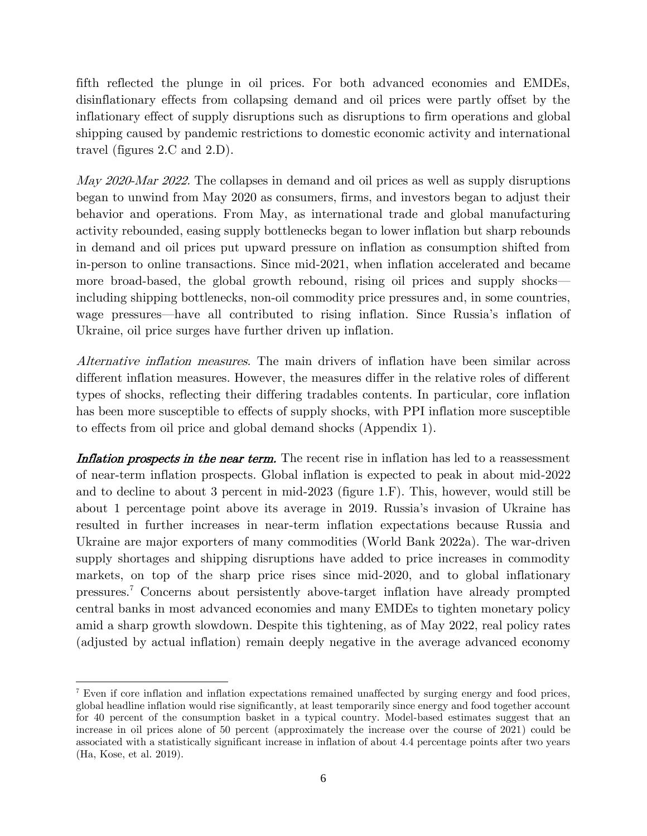fifth reflected the plunge in oil prices. For both advanced economies and EMDEs, disinflationary effects from collapsing demand and oil prices were partly offset by the inflationary effect of supply disruptions such as disruptions to firm operations and global shipping caused by pandemic restrictions to domestic economic activity and international travel (figures 2.C and 2.D).

May 2020-Mar 2022. The collapses in demand and oil prices as well as supply disruptions began to unwind from May 2020 as consumers, firms, and investors began to adjust their behavior and operations. From May, as international trade and global manufacturing activity rebounded, easing supply bottlenecks began to lower inflation but sharp rebounds in demand and oil prices put upward pressure on inflation as consumption shifted from in-person to online transactions. Since mid-2021, when inflation accelerated and became more broad-based, the global growth rebound, rising oil prices and supply shocks including shipping bottlenecks, non-oil commodity price pressures and, in some countries, wage pressures—have all contributed to rising inflation. Since Russia's inflation of Ukraine, oil price surges have further driven up inflation.

Alternative inflation measures. The main drivers of inflation have been similar across different inflation measures. However, the measures differ in the relative roles of different types of shocks, reflecting their differing tradables contents. In particular, core inflation has been more susceptible to effects of supply shocks, with PPI inflation more susceptible to effects from oil price and global demand shocks (Appendix 1).

Inflation prospects in the near term. The recent rise in inflation has led to a reassessment of near-term inflation prospects. Global inflation is expected to peak in about mid-2022 and to decline to about 3 percent in mid-2023 (figure 1.F). This, however, would still be about 1 percentage point above its average in 2019. Russia's invasion of Ukraine has resulted in further increases in near-term inflation expectations because Russia and Ukraine are major exporters of many commodities (World Bank 2022a). The war-driven supply shortages and shipping disruptions have added to price increases in commodity markets, on top of the sharp price rises since mid-2020, and to global inflationary pressures.<sup>7</sup> Concerns about persistently above-target inflation have already prompted central banks in most advanced economies and many EMDEs to tighten monetary policy amid a sharp growth slowdown. Despite this tightening, as of May 2022, real policy rates (adjusted by actual inflation) remain deeply negative in the average advanced economy

<sup>7</sup> Even if core inflation and inflation expectations remained unaffected by surging energy and food prices, global headline inflation would rise significantly, at least temporarily since energy and food together account for 40 percent of the consumption basket in a typical country. Model-based estimates suggest that an increase in oil prices alone of 50 percent (approximately the increase over the course of 2021) could be associated with a statistically significant increase in inflation of about 4.4 percentage points after two years (Ha, Kose, et al. 2019).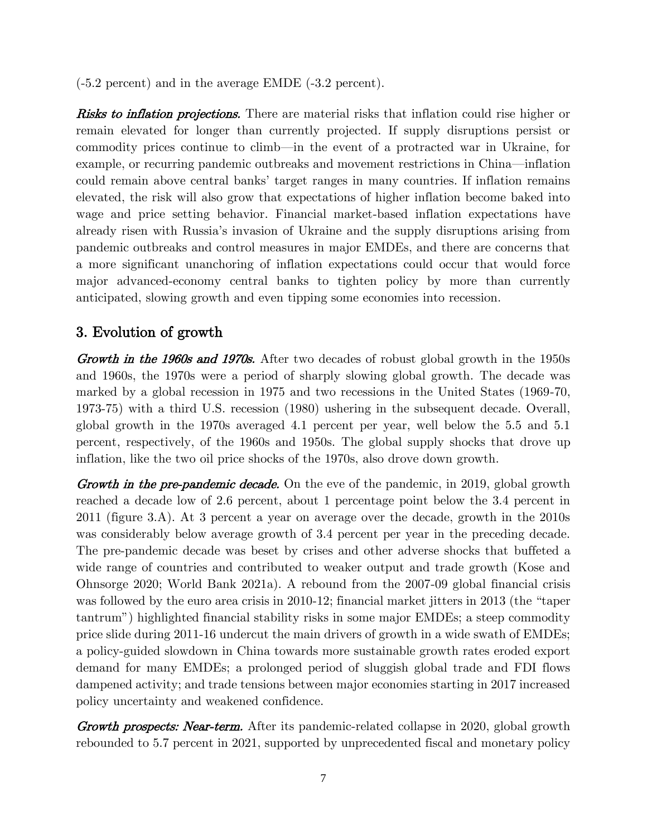(-5.2 percent) and in the average EMDE (-3.2 percent).

**Risks to inflation projections.** There are material risks that inflation could rise higher or remain elevated for longer than currently projected. If supply disruptions persist or commodity prices continue to climb—in the event of a protracted war in Ukraine, for example, or recurring pandemic outbreaks and movement restrictions in China—inflation could remain above central banks' target ranges in many countries. If inflation remains elevated, the risk will also grow that expectations of higher inflation become baked into wage and price setting behavior. Financial market-based inflation expectations have already risen with Russia's invasion of Ukraine and the supply disruptions arising from pandemic outbreaks and control measures in major EMDEs, and there are concerns that a more significant unanchoring of inflation expectations could occur that would force major advanced-economy central banks to tighten policy by more than currently anticipated, slowing growth and even tipping some economies into recession.

## 3. Evolution of growth

Growth in the 1960s and 1970s. After two decades of robust global growth in the 1950s and 1960s, the 1970s were a period of sharply slowing global growth. The decade was marked by a global recession in 1975 and two recessions in the United States (1969-70, 1973-75) with a third U.S. recession (1980) ushering in the subsequent decade. Overall, global growth in the 1970s averaged 4.1 percent per year, well below the 5.5 and 5.1 percent, respectively, of the 1960s and 1950s. The global supply shocks that drove up inflation, like the two oil price shocks of the 1970s, also drove down growth.

**Growth in the pre-pandemic decade.** On the eve of the pandemic, in 2019, global growth reached a decade low of 2.6 percent, about 1 percentage point below the 3.4 percent in 2011 (figure 3.A). At 3 percent a year on average over the decade, growth in the 2010s was considerably below average growth of 3.4 percent per year in the preceding decade. The pre-pandemic decade was beset by crises and other adverse shocks that buffeted a wide range of countries and contributed to weaker output and trade growth (Kose and Ohnsorge 2020; World Bank 2021a). A rebound from the 2007-09 global financial crisis was followed by the euro area crisis in 2010-12; financial market jitters in 2013 (the "taper tantrum") highlighted financial stability risks in some major EMDEs; a steep commodity price slide during 2011-16 undercut the main drivers of growth in a wide swath of EMDEs; a policy-guided slowdown in China towards more sustainable growth rates eroded export demand for many EMDEs; a prolonged period of sluggish global trade and FDI flows dampened activity; and trade tensions between major economies starting in 2017 increased policy uncertainty and weakened confidence.

**Growth prospects: Near-term.** After its pandemic-related collapse in 2020, global growth rebounded to 5.7 percent in 2021, supported by unprecedented fiscal and monetary policy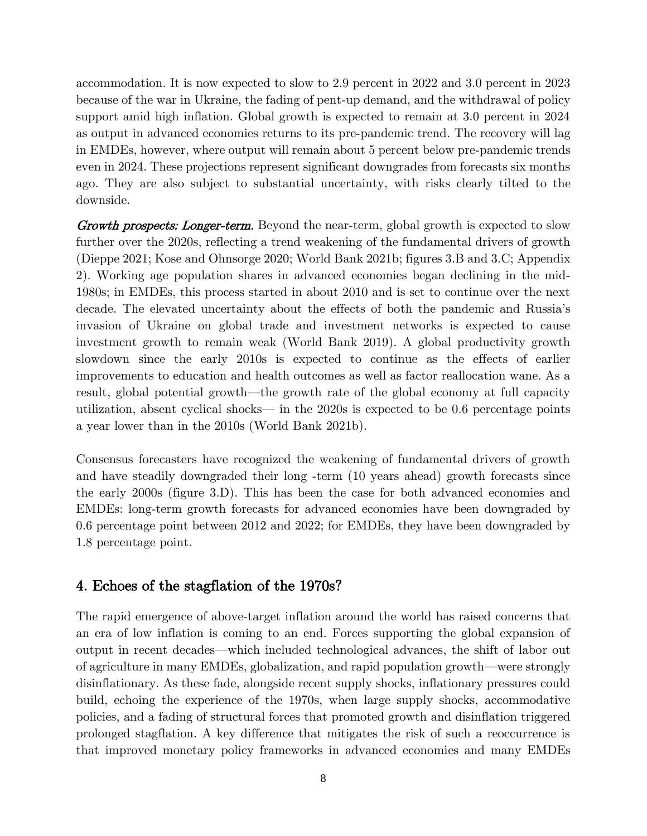accommodation. It is now expected to slow to 2.9 percent in 2022 and 3.0 percent in 2023 because of the war in Ukraine, the fading of pent-up demand, and the withdrawal of policy support amid high inflation. Global growth is expected to remain at 3.0 percent in 2024 as output in advanced economies returns to its pre-pandemic trend. The recovery will lag in EMDEs, however, where output will remain about 5 percent below pre-pandemic trends even in 2024. These projections represent significant downgrades from forecasts six months ago. They are also subject to substantial uncertainty, with risks clearly tilted to the downside.

**Growth prospects: Longer-term.** Beyond the near-term, global growth is expected to slow further over the 2020s, reflecting a trend weakening of the fundamental drivers of growth (Dieppe 2021; Kose and Ohnsorge 2020; World Bank 2021b; figures 3.B and 3.C; Appendix 2). Working age population shares in advanced economies began declining in the mid-1980s; in EMDEs, this process started in about 2010 and is set to continue over the next decade. The elevated uncertainty about the effects of both the pandemic and Russia's invasion of Ukraine on global trade and investment networks is expected to cause investment growth to remain weak (World Bank 2019). A global productivity growth slowdown since the early 2010s is expected to continue as the effects of earlier improvements to education and health outcomes as well as factor reallocation wane. As a result, global potential growth—the growth rate of the global economy at full capacity utilization, absent cyclical shocks— in the 2020s is expected to be 0.6 percentage points a year lower than in the 2010s (World Bank 2021b).

Consensus forecasters have recognized the weakening of fundamental drivers of growth and have steadily downgraded their long -term (10 years ahead) growth forecasts since the early 2000s (figure 3.D). This has been the case for both advanced economies and EMDEs: long-term growth forecasts for advanced economies have been downgraded by 0.6 percentage point between 2012 and 2022; for EMDEs, they have been downgraded by 1.8 percentage point.

## 4. Echoes of the stagflation of the 1970s?

The rapid emergence of above-target inflation around the world has raised concerns that an era of low inflation is coming to an end. Forces supporting the global expansion of output in recent decades—which included technological advances, the shift of labor out of agriculture in many EMDEs, globalization, and rapid population growth—were strongly disinflationary. As these fade, alongside recent supply shocks, inflationary pressures could build, echoing the experience of the 1970s, when large supply shocks, accommodative policies, and a fading of structural forces that promoted growth and disinflation triggered prolonged stagflation. A key difference that mitigates the risk of such a reoccurrence is that improved monetary policy frameworks in advanced economies and many EMDEs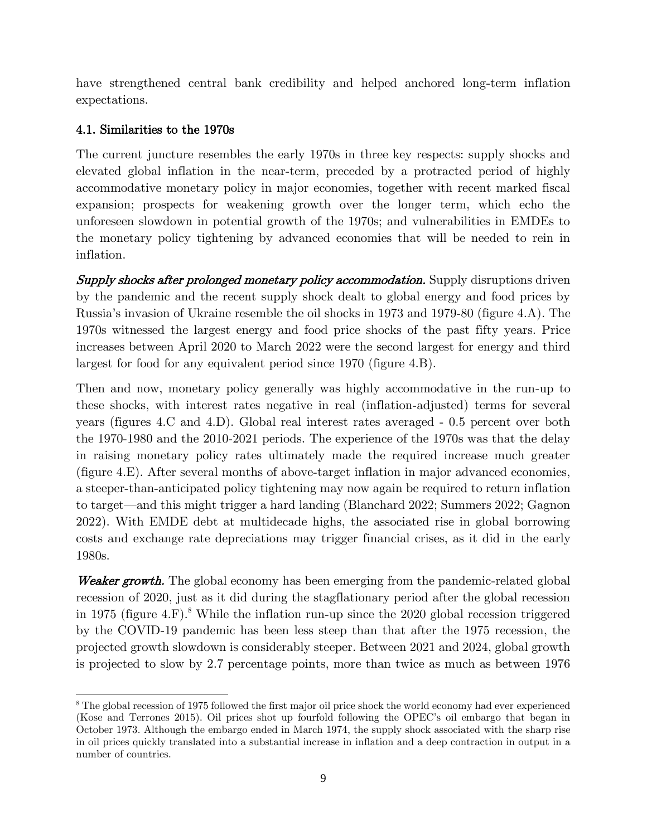have strengthened central bank credibility and helped anchored long-term inflation expectations.

## 4.1. Similarities to the 1970s

The current juncture resembles the early 1970s in three key respects: supply shocks and elevated global inflation in the near-term, preceded by a protracted period of highly accommodative monetary policy in major economies, together with recent marked fiscal expansion; prospects for weakening growth over the longer term, which echo the unforeseen slowdown in potential growth of the 1970s; and vulnerabilities in EMDEs to the monetary policy tightening by advanced economies that will be needed to rein in inflation.

**Supply shocks after prolonged monetary policy accommodation.** Supply disruptions driven by the pandemic and the recent supply shock dealt to global energy and food prices by Russia's invasion of Ukraine resemble the oil shocks in 1973 and 1979-80 (figure 4.A). The 1970s witnessed the largest energy and food price shocks of the past fifty years. Price increases between April 2020 to March 2022 were the second largest for energy and third largest for food for any equivalent period since 1970 (figure 4.B).

Then and now, monetary policy generally was highly accommodative in the run-up to these shocks, with interest rates negative in real (inflation-adjusted) terms for several years (figures 4.C and 4.D). Global real interest rates averaged - 0.5 percent over both the 1970-1980 and the 2010-2021 periods. The experience of the 1970s was that the delay in raising monetary policy rates ultimately made the required increase much greater (figure 4.E). After several months of above-target inflation in major advanced economies, a steeper-than-anticipated policy tightening may now again be required to return inflation to target—and this might trigger a hard landing (Blanchard 2022; Summers 2022; Gagnon 2022). With EMDE debt at multidecade highs, the associated rise in global borrowing costs and exchange rate depreciations may trigger financial crises, as it did in the early 1980s.

Weaker growth. The global economy has been emerging from the pandemic-related global recession of 2020, just as it did during the stagflationary period after the global recession in 1975 (figure 4.F).<sup>8</sup> While the inflation run-up since the 2020 global recession triggered by the COVID-19 pandemic has been less steep than that after the 1975 recession, the projected growth slowdown is considerably steeper. Between 2021 and 2024, global growth is projected to slow by 2.7 percentage points, more than twice as much as between 1976

<sup>8</sup> The global recession of 1975 followed the first major oil price shock the world economy had ever experienced (Kose and Terrones 2015). Oil prices shot up fourfold following the OPEC's oil embargo that began in October 1973. Although the embargo ended in March 1974, the supply shock associated with the sharp rise in oil prices quickly translated into a substantial increase in inflation and a deep contraction in output in a number of countries.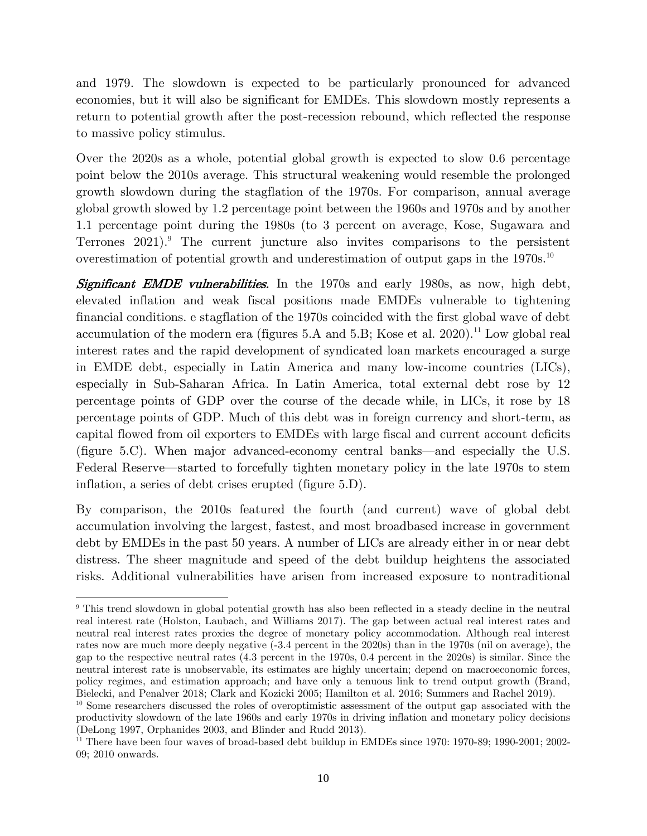and 1979. The slowdown is expected to be particularly pronounced for advanced economies, but it will also be significant for EMDEs. This slowdown mostly represents a return to potential growth after the post-recession rebound, which reflected the response to massive policy stimulus.

Over the 2020s as a whole, potential global growth is expected to slow 0.6 percentage point below the 2010s average. This structural weakening would resemble the prolonged growth slowdown during the stagflation of the 1970s. For comparison, annual average global growth slowed by 1.2 percentage point between the 1960s and 1970s and by another 1.1 percentage point during the 1980s (to 3 percent on average, Kose, Sugawara and Terrones  $2021$ .<sup>9</sup> The current juncture also invites comparisons to the persistent overestimation of potential growth and underestimation of output gaps in the  $1970s$ <sup>10</sup>

Significant EMDE vulnerabilities. In the 1970s and early 1980s, as now, high debt, elevated inflation and weak fiscal positions made EMDEs vulnerable to tightening financial conditions. e stagflation of the 1970s coincided with the first global wave of debt accumulation of the modern era (figures 5.A and 5.B; Kose et al. 2020).<sup>11</sup> Low global real interest rates and the rapid development of syndicated loan markets encouraged a surge in EMDE debt, especially in Latin America and many low-income countries (LICs), especially in Sub-Saharan Africa. In Latin America, total external debt rose by 12 percentage points of GDP over the course of the decade while, in LICs, it rose by 18 percentage points of GDP. Much of this debt was in foreign currency and short-term, as capital flowed from oil exporters to EMDEs with large fiscal and current account deficits (figure 5.C). When major advanced-economy central banks—and especially the U.S. Federal Reserve—started to forcefully tighten monetary policy in the late 1970s to stem inflation, a series of debt crises erupted (figure 5.D).

By comparison, the 2010s featured the fourth (and current) wave of global debt accumulation involving the largest, fastest, and most broadbased increase in government debt by EMDEs in the past 50 years. A number of LICs are already either in or near debt distress. The sheer magnitude and speed of the debt buildup heightens the associated risks. Additional vulnerabilities have arisen from increased exposure to nontraditional

<sup>9</sup> This trend slowdown in global potential growth has also been reflected in a steady decline in the neutral real interest rate (Holston, Laubach, and Williams 2017). The gap between actual real interest rates and neutral real interest rates proxies the degree of monetary policy accommodation. Although real interest rates now are much more deeply negative (-3.4 percent in the 2020s) than in the 1970s (nil on average), the gap to the respective neutral rates (4.3 percent in the 1970s, 0.4 percent in the 2020s) is similar. Since the neutral interest rate is unobservable, its estimates are highly uncertain; depend on macroeconomic forces, policy regimes, and estimation approach; and have only a tenuous link to trend output growth (Brand, Bielecki, and Penalver 2018; Clark and Kozicki 2005; Hamilton et al. 2016; Summers and Rachel 2019).

<sup>&</sup>lt;sup>10</sup> Some researchers discussed the roles of overoptimistic assessment of the output gap associated with the productivity slowdown of the late 1960s and early 1970s in driving inflation and monetary policy decisions (DeLong 1997, Orphanides 2003, and Blinder and Rudd 2013).

<sup>&</sup>lt;sup>11</sup> There have been four waves of broad-based debt buildup in EMDEs since 1970: 1970-89; 1990-2001; 2002-09; 2010 onwards.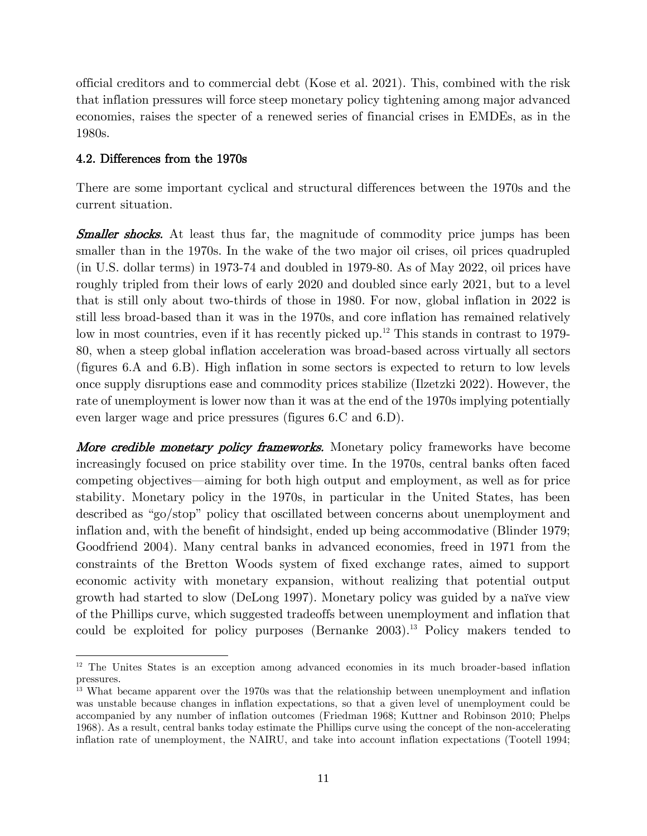official creditors and to commercial debt (Kose et al. 2021). This, combined with the risk that inflation pressures will force steep monetary policy tightening among major advanced economies, raises the specter of a renewed series of financial crises in EMDEs, as in the 1980s.

### 4.2. Differences from the 1970s

There are some important cyclical and structural differences between the 1970s and the current situation.

**Smaller shocks.** At least thus far, the magnitude of commodity price jumps has been smaller than in the 1970s. In the wake of the two major oil crises, oil prices quadrupled (in U.S. dollar terms) in 1973-74 and doubled in 1979-80. As of May 2022, oil prices have roughly tripled from their lows of early 2020 and doubled since early 2021, but to a level that is still only about two-thirds of those in 1980. For now, global inflation in 2022 is still less broad-based than it was in the 1970s, and core inflation has remained relatively low in most countries, even if it has recently picked up.<sup>12</sup> This stands in contrast to 1979-80, when a steep global inflation acceleration was broad-based across virtually all sectors (figures 6.A and 6.B). High inflation in some sectors is expected to return to low levels once supply disruptions ease and commodity prices stabilize (Ilzetzki 2022). However, the rate of unemployment is lower now than it was at the end of the 1970s implying potentially even larger wage and price pressures (figures 6.C and 6.D).

More credible monetary policy frameworks. Monetary policy frameworks have become increasingly focused on price stability over time. In the 1970s, central banks often faced competing objectives—aiming for both high output and employment, as well as for price stability. Monetary policy in the 1970s, in particular in the United States, has been described as "go/stop" policy that oscillated between concerns about unemployment and inflation and, with the benefit of hindsight, ended up being accommodative (Blinder 1979; Goodfriend 2004). Many central banks in advanced economies, freed in 1971 from the constraints of the Bretton Woods system of fixed exchange rates, aimed to support economic activity with monetary expansion, without realizing that potential output growth had started to slow (DeLong 1997). Monetary policy was guided by a naïve view of the Phillips curve, which suggested tradeoffs between unemployment and inflation that could be exploited for policy purposes (Bernanke 2003).<sup>13</sup> Policy makers tended to

<sup>&</sup>lt;sup>12</sup> The Unites States is an exception among advanced economies in its much broader-based inflation pressures.

<sup>&</sup>lt;sup>13</sup> What became apparent over the 1970s was that the relationship between unemployment and inflation was unstable because changes in inflation expectations, so that a given level of unemployment could be accompanied by any number of inflation outcomes (Friedman 1968; Kuttner and Robinson 2010; Phelps 1968). As a result, central banks today estimate the Phillips curve using the concept of the non-accelerating inflation rate of unemployment, the NAIRU, and take into account inflation expectations (Tootell 1994;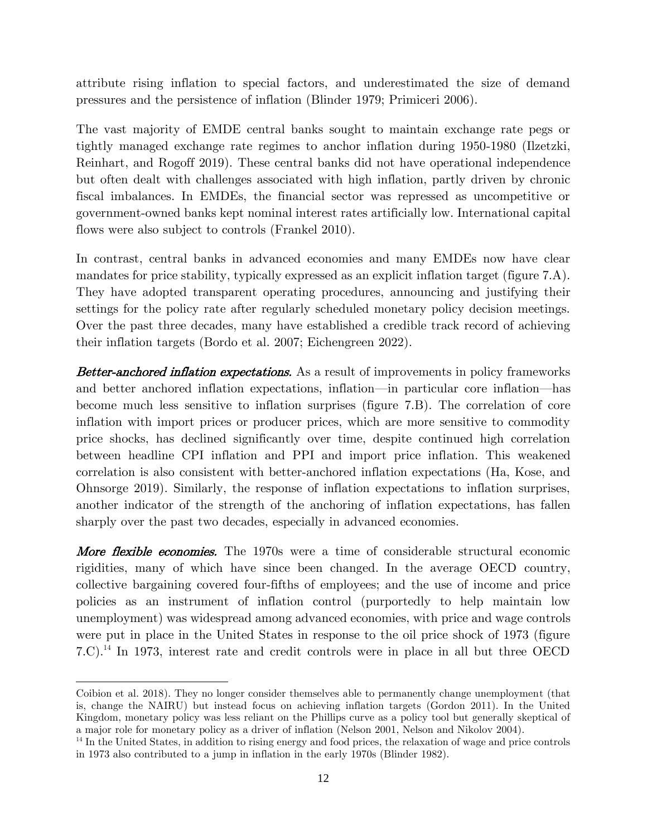attribute rising inflation to special factors, and underestimated the size of demand pressures and the persistence of inflation (Blinder 1979; Primiceri 2006).

The vast majority of EMDE central banks sought to maintain exchange rate pegs or tightly managed exchange rate regimes to anchor inflation during 1950-1980 (Ilzetzki, Reinhart, and Rogoff 2019). These central banks did not have operational independence but often dealt with challenges associated with high inflation, partly driven by chronic fiscal imbalances. In EMDEs, the financial sector was repressed as uncompetitive or government-owned banks kept nominal interest rates artificially low. International capital flows were also subject to controls (Frankel 2010).

In contrast, central banks in advanced economies and many EMDEs now have clear mandates for price stability, typically expressed as an explicit inflation target (figure 7.A). They have adopted transparent operating procedures, announcing and justifying their settings for the policy rate after regularly scheduled monetary policy decision meetings. Over the past three decades, many have established a credible track record of achieving their inflation targets (Bordo et al. 2007; Eichengreen 2022).

**Better-anchored inflation expectations.** As a result of improvements in policy frameworks and better anchored inflation expectations, inflation—in particular core inflation—has become much less sensitive to inflation surprises (figure 7.B). The correlation of core inflation with import prices or producer prices, which are more sensitive to commodity price shocks, has declined significantly over time, despite continued high correlation between headline CPI inflation and PPI and import price inflation. This weakened correlation is also consistent with better-anchored inflation expectations (Ha, Kose, and Ohnsorge 2019). Similarly, the response of inflation expectations to inflation surprises, another indicator of the strength of the anchoring of inflation expectations, has fallen sharply over the past two decades, especially in advanced economies.

**More flexible economies.** The 1970s were a time of considerable structural economic rigidities, many of which have since been changed. In the average OECD country, collective bargaining covered four-fifths of employees; and the use of income and price policies as an instrument of inflation control (purportedly to help maintain low unemployment) was widespread among advanced economies, with price and wage controls were put in place in the United States in response to the oil price shock of 1973 (figure 7.C).<sup>14</sup> In 1973, interest rate and credit controls were in place in all but three OECD

Coibion et al. 2018). They no longer consider themselves able to permanently change unemployment (that is, change the NAIRU) but instead focus on achieving inflation targets (Gordon 2011). In the United Kingdom, monetary policy was less reliant on the Phillips curve as a policy tool but generally skeptical of a major role for monetary policy as a driver of inflation (Nelson 2001, Nelson and Nikolov 2004).

<sup>&</sup>lt;sup>14</sup> In the United States, in addition to rising energy and food prices, the relaxation of wage and price controls in 1973 also contributed to a jump in inflation in the early 1970s (Blinder 1982).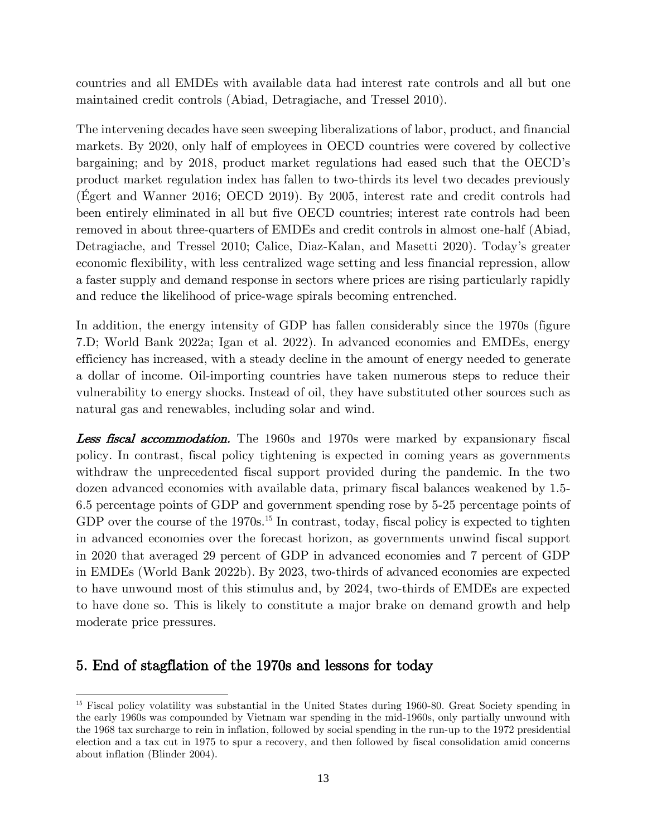countries and all EMDEs with available data had interest rate controls and all but one maintained credit controls (Abiad, Detragiache, and Tressel 2010).

The intervening decades have seen sweeping liberalizations of labor, product, and financial markets. By 2020, only half of employees in OECD countries were covered by collective bargaining; and by 2018, product market regulations had eased such that the OECD's product market regulation index has fallen to two-thirds its level two decades previously (Égert and Wanner 2016; OECD 2019). By 2005, interest rate and credit controls had been entirely eliminated in all but five OECD countries; interest rate controls had been removed in about three-quarters of EMDEs and credit controls in almost one-half (Abiad, Detragiache, and Tressel 2010; Calice, Diaz-Kalan, and Masetti 2020). Today's greater economic flexibility, with less centralized wage setting and less financial repression, allow a faster supply and demand response in sectors where prices are rising particularly rapidly and reduce the likelihood of price-wage spirals becoming entrenched.

In addition, the energy intensity of GDP has fallen considerably since the 1970s (figure 7.D; World Bank 2022a; Igan et al. 2022). In advanced economies and EMDEs, energy efficiency has increased, with a steady decline in the amount of energy needed to generate a dollar of income. Oil-importing countries have taken numerous steps to reduce their vulnerability to energy shocks. Instead of oil, they have substituted other sources such as natural gas and renewables, including solar and wind.

**Less fiscal accommodation.** The 1960s and 1970s were marked by expansionary fiscal policy. In contrast, fiscal policy tightening is expected in coming years as governments withdraw the unprecedented fiscal support provided during the pandemic. In the two dozen advanced economies with available data, primary fiscal balances weakened by 1.5- 6.5 percentage points of GDP and government spending rose by 5-25 percentage points of GDP over the course of the 1970s.<sup>15</sup> In contrast, today, fiscal policy is expected to tighten in advanced economies over the forecast horizon, as governments unwind fiscal support in 2020 that averaged 29 percent of GDP in advanced economies and 7 percent of GDP in EMDEs (World Bank 2022b). By 2023, two-thirds of advanced economies are expected to have unwound most of this stimulus and, by 2024, two-thirds of EMDEs are expected to have done so. This is likely to constitute a major brake on demand growth and help moderate price pressures.

## 5. End of stagflation of the 1970s and lessons for today

<sup>&</sup>lt;sup>15</sup> Fiscal policy volatility was substantial in the United States during 1960-80. Great Society spending in the early 1960s was compounded by Vietnam war spending in the mid-1960s, only partially unwound with the 1968 tax surcharge to rein in inflation, followed by social spending in the run-up to the 1972 presidential election and a tax cut in 1975 to spur a recovery, and then followed by fiscal consolidation amid concerns about inflation (Blinder 2004).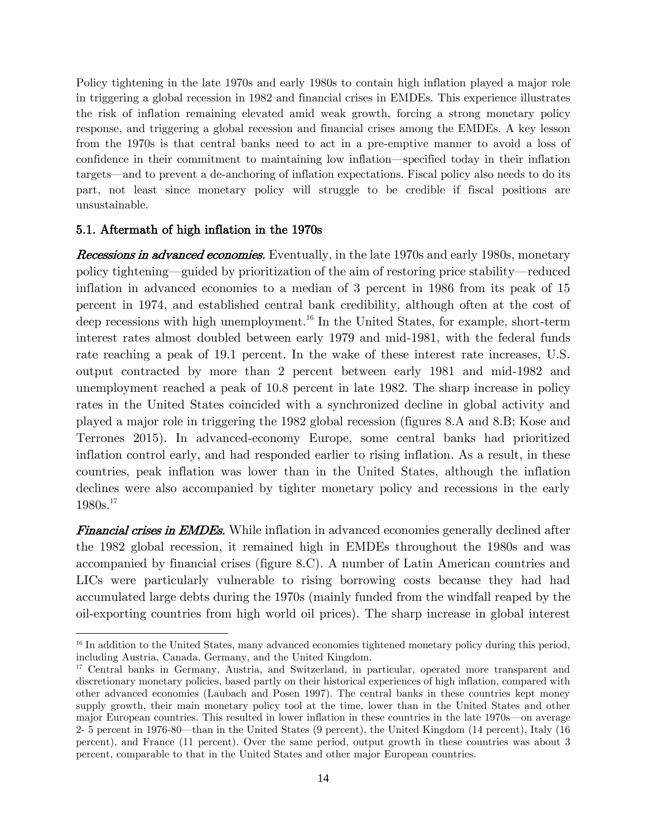Policy tightening in the late 1970s and early 1980s to contain high inflation played a major role in triggering a global recession in 1982 and financial crises in EMDEs. This experience illustrates the risk of inflation remaining elevated amid weak growth, forcing a strong monetary policy response, and triggering a global recession and financial crises among the EMDEs. A key lesson from the 1970s is that central banks need to act in a pre-emptive manner to avoid a loss of confidence in their commitment to maintaining low inflation—specified today in their inflation targets—and to prevent a de-anchoring of inflation expectations. Fiscal policy also needs to do its part, not least since monetary policy will struggle to be credible if fiscal positions are unsustainable.

## 5.1. Aftermath of high inflation in the 1970s

Recessions in advanced economies. Eventually, in the late 1970s and early 1980s, monetary policy tightening—guided by prioritization of the aim of restoring price stability—reduced inflation in advanced economies to a median of 3 percent in 1986 from its peak of 15 percent in 1974, and established central bank credibility, although often at the cost of deep recessions with high unemployment.<sup>16</sup> In the United States, for example, short-term interest rates almost doubled between early 1979 and mid-1981, with the federal funds rate reaching a peak of 19.1 percent. In the wake of these interest rate increases, U.S. output contracted by more than 2 percent between early 1981 and mid-1982 and unemployment reached a peak of 10.8 percent in late 1982. The sharp increase in policy rates in the United States coincided with a synchronized decline in global activity and played a major role in triggering the 1982 global recession (figures 8.A and 8.B; Kose and Terrones 2015). In advanced-economy Europe, some central banks had prioritized inflation control early, and had responded earlier to rising inflation. As a result, in these countries, peak inflation was lower than in the United States, although the inflation declines were also accompanied by tighter monetary policy and recessions in the early 1980s.<sup>17</sup>

**Financial crises in EMDEs.** While inflation in advanced economies generally declined after the 1982 global recession, it remained high in EMDEs throughout the 1980s and was accompanied by financial crises (figure 8.C). A number of Latin American countries and LICs were particularly vulnerable to rising borrowing costs because they had had accumulated large debts during the 1970s (mainly funded from the windfall reaped by the oil-exporting countries from high world oil prices). The sharp increase in global interest

<sup>&</sup>lt;sup>16</sup> In addition to the United States, many advanced economies tightened monetary policy during this period, including Austria, Canada, Germany, and the United Kingdom.

<sup>17</sup> Central banks in Germany, Austria, and Switzerland, in particular, operated more transparent and discretionary monetary policies, based partly on their historical experiences of high inflation, compared with other advanced economies (Laubach and Posen 1997). The central banks in these countries kept money supply growth, their main monetary policy tool at the time, lower than in the United States and other major European countries. This resulted in lower inflation in these countries in the late 1970s—on average 2- 5 percent in 1976-80—than in the United States (9 percent), the United Kingdom (14 percent), Italy (16 percent), and France (11 percent). Over the same period, output growth in these countries was about 3 percent, comparable to that in the United States and other major European countries.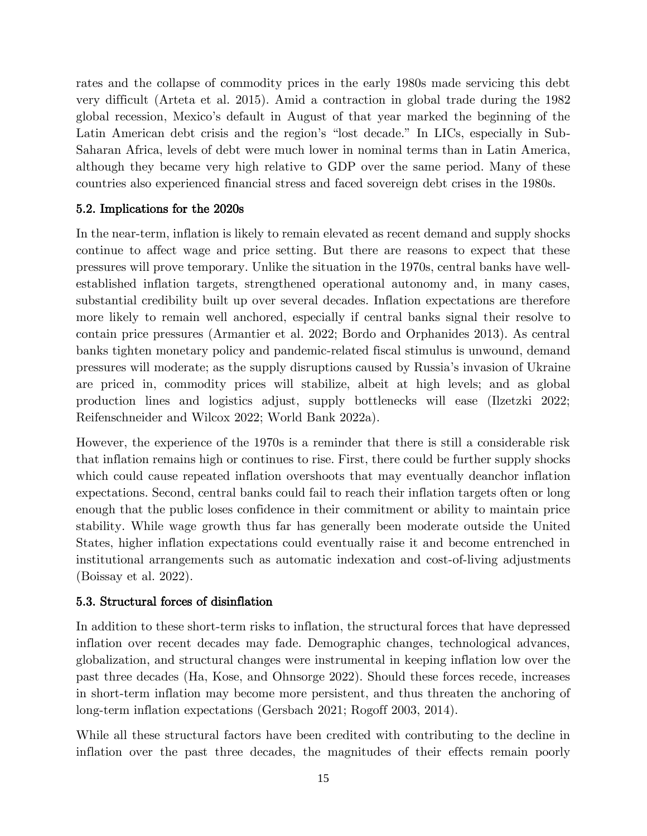rates and the collapse of commodity prices in the early 1980s made servicing this debt very difficult (Arteta et al. 2015). Amid a contraction in global trade during the 1982 global recession, Mexico's default in August of that year marked the beginning of the Latin American debt crisis and the region's "lost decade." In LICs, especially in Sub-Saharan Africa, levels of debt were much lower in nominal terms than in Latin America, although they became very high relative to GDP over the same period. Many of these countries also experienced financial stress and faced sovereign debt crises in the 1980s.

## 5.2. Implications for the 2020s

In the near-term, inflation is likely to remain elevated as recent demand and supply shocks continue to affect wage and price setting. But there are reasons to expect that these pressures will prove temporary. Unlike the situation in the 1970s, central banks have wellestablished inflation targets, strengthened operational autonomy and, in many cases, substantial credibility built up over several decades. Inflation expectations are therefore more likely to remain well anchored, especially if central banks signal their resolve to contain price pressures (Armantier et al. 2022; Bordo and Orphanides 2013). As central banks tighten monetary policy and pandemic-related fiscal stimulus is unwound, demand pressures will moderate; as the supply disruptions caused by Russia's invasion of Ukraine are priced in, commodity prices will stabilize, albeit at high levels; and as global production lines and logistics adjust, supply bottlenecks will ease (Ilzetzki 2022; Reifenschneider and Wilcox 2022; World Bank 2022a).

However, the experience of the 1970s is a reminder that there is still a considerable risk that inflation remains high or continues to rise. First, there could be further supply shocks which could cause repeated inflation overshoots that may eventually deanchor inflation expectations. Second, central banks could fail to reach their inflation targets often or long enough that the public loses confidence in their commitment or ability to maintain price stability. While wage growth thus far has generally been moderate outside the United States, higher inflation expectations could eventually raise it and become entrenched in institutional arrangements such as automatic indexation and cost-of-living adjustments (Boissay et al. 2022).

## 5.3. Structural forces of disinflation

In addition to these short-term risks to inflation, the structural forces that have depressed inflation over recent decades may fade. Demographic changes, technological advances, globalization, and structural changes were instrumental in keeping inflation low over the past three decades (Ha, Kose, and Ohnsorge 2022). Should these forces recede, increases in short-term inflation may become more persistent, and thus threaten the anchoring of long-term inflation expectations (Gersbach 2021; Rogoff 2003, 2014).

While all these structural factors have been credited with contributing to the decline in inflation over the past three decades, the magnitudes of their effects remain poorly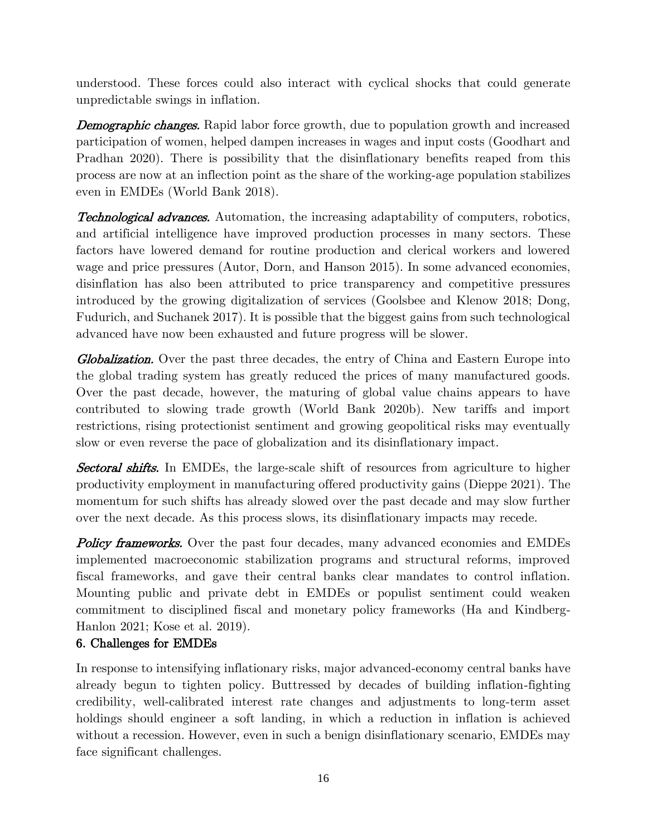understood. These forces could also interact with cyclical shocks that could generate unpredictable swings in inflation.

**Demographic changes.** Rapid labor force growth, due to population growth and increased participation of women, helped dampen increases in wages and input costs (Goodhart and Pradhan 2020). There is possibility that the disinflationary benefits reaped from this process are now at an inflection point as the share of the working-age population stabilizes even in EMDEs (World Bank 2018).

**Technological advances.** Automation, the increasing adaptability of computers, robotics, and artificial intelligence have improved production processes in many sectors. These factors have lowered demand for routine production and clerical workers and lowered wage and price pressures (Autor, Dorn, and Hanson 2015). In some advanced economies, disinflation has also been attributed to price transparency and competitive pressures introduced by the growing digitalization of services (Goolsbee and Klenow 2018; Dong, Fudurich, and Suchanek 2017). It is possible that the biggest gains from such technological advanced have now been exhausted and future progress will be slower.

**Globalization.** Over the past three decades, the entry of China and Eastern Europe into the global trading system has greatly reduced the prices of many manufactured goods. Over the past decade, however, the maturing of global value chains appears to have contributed to slowing trade growth (World Bank 2020b). New tariffs and import restrictions, rising protectionist sentiment and growing geopolitical risks may eventually slow or even reverse the pace of globalization and its disinflationary impact.

**Sectoral shifts.** In EMDEs, the large-scale shift of resources from agriculture to higher productivity employment in manufacturing offered productivity gains (Dieppe 2021). The momentum for such shifts has already slowed over the past decade and may slow further over the next decade. As this process slows, its disinflationary impacts may recede.

Policy frameworks. Over the past four decades, many advanced economies and EMDEs implemented macroeconomic stabilization programs and structural reforms, improved fiscal frameworks, and gave their central banks clear mandates to control inflation. Mounting public and private debt in EMDEs or populist sentiment could weaken commitment to disciplined fiscal and monetary policy frameworks (Ha and Kindberg-Hanlon 2021; Kose et al. 2019).

## 6. Challenges for EMDEs

In response to intensifying inflationary risks, major advanced-economy central banks have already begun to tighten policy. Buttressed by decades of building inflation-fighting credibility, well-calibrated interest rate changes and adjustments to long-term asset holdings should engineer a soft landing, in which a reduction in inflation is achieved without a recession. However, even in such a benign disinflationary scenario, EMDEs may face significant challenges.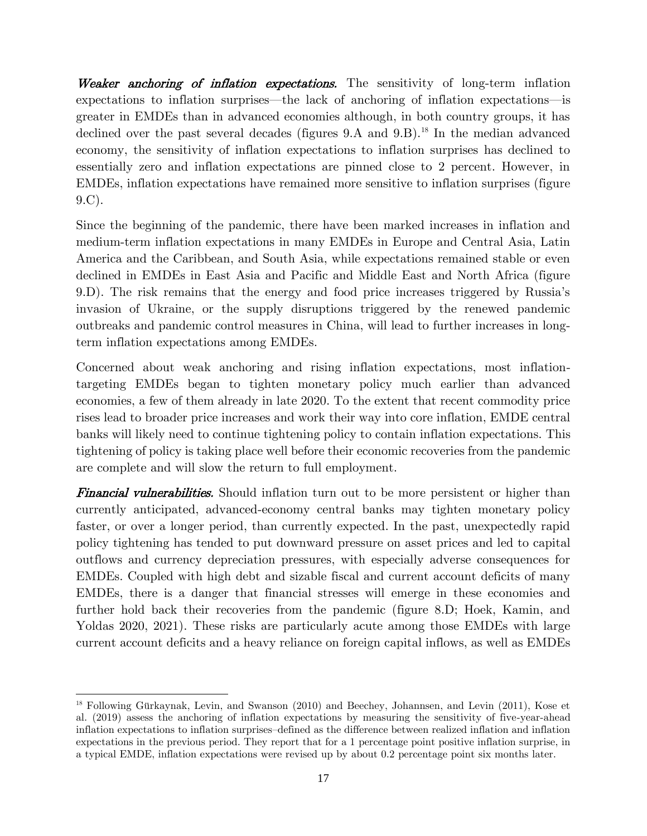Weaker anchoring of inflation expectations. The sensitivity of long-term inflation expectations to inflation surprises—the lack of anchoring of inflation expectations—is greater in EMDEs than in advanced economies although, in both country groups, it has declined over the past several decades (figures 9.A and 9.B).<sup>18</sup> In the median advanced economy, the sensitivity of inflation expectations to inflation surprises has declined to essentially zero and inflation expectations are pinned close to 2 percent. However, in EMDEs, inflation expectations have remained more sensitive to inflation surprises (figure 9.C).

Since the beginning of the pandemic, there have been marked increases in inflation and medium-term inflation expectations in many EMDEs in Europe and Central Asia, Latin America and the Caribbean, and South Asia, while expectations remained stable or even declined in EMDEs in East Asia and Pacific and Middle East and North Africa (figure 9.D). The risk remains that the energy and food price increases triggered by Russia's invasion of Ukraine, or the supply disruptions triggered by the renewed pandemic outbreaks and pandemic control measures in China, will lead to further increases in longterm inflation expectations among EMDEs.

Concerned about weak anchoring and rising inflation expectations, most inflationtargeting EMDEs began to tighten monetary policy much earlier than advanced economies, a few of them already in late 2020. To the extent that recent commodity price rises lead to broader price increases and work their way into core inflation, EMDE central banks will likely need to continue tightening policy to contain inflation expectations. This tightening of policy is taking place well before their economic recoveries from the pandemic are complete and will slow the return to full employment.

**Financial vulnerabilities.** Should inflation turn out to be more persistent or higher than currently anticipated, advanced-economy central banks may tighten monetary policy faster, or over a longer period, than currently expected. In the past, unexpectedly rapid policy tightening has tended to put downward pressure on asset prices and led to capital outflows and currency depreciation pressures, with especially adverse consequences for EMDEs. Coupled with high debt and sizable fiscal and current account deficits of many EMDEs, there is a danger that financial stresses will emerge in these economies and further hold back their recoveries from the pandemic (figure 8.D; Hoek, Kamin, and Yoldas 2020, 2021). These risks are particularly acute among those EMDEs with large current account deficits and a heavy reliance on foreign capital inflows, as well as EMDEs

<sup>18</sup> Following Gürkaynak, Levin, and Swanson (2010) and Beechey, Johannsen, and Levin (2011), Kose et al. (2019) assess the anchoring of inflation expectations by measuring the sensitivity of five-year-ahead inflation expectations to inflation surprises–defined as the difference between realized inflation and inflation expectations in the previous period. They report that for a 1 percentage point positive inflation surprise, in a typical EMDE, inflation expectations were revised up by about 0.2 percentage point six months later.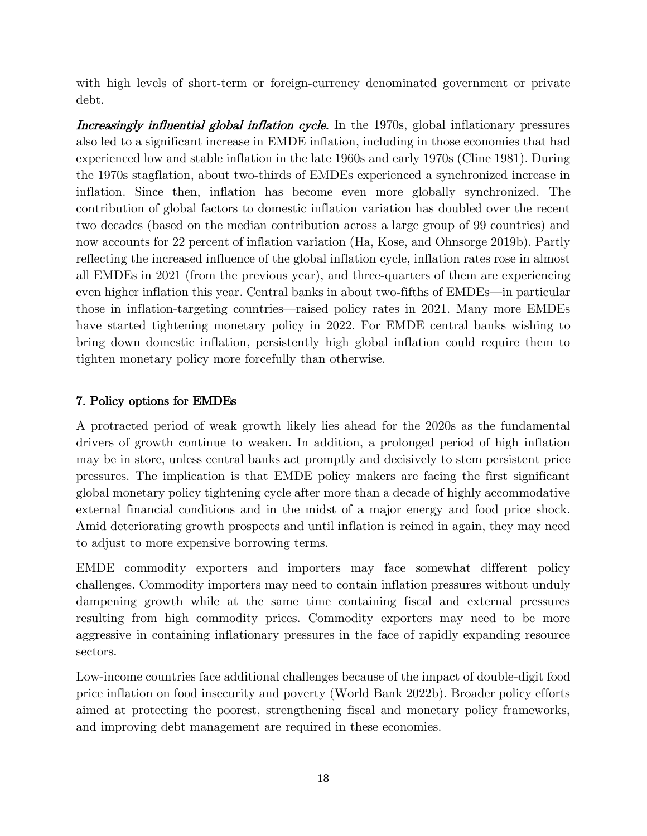with high levels of short-term or foreign-currency denominated government or private debt.

Increasingly influential global inflation cycle. In the 1970s, global inflationary pressures also led to a significant increase in EMDE inflation, including in those economies that had experienced low and stable inflation in the late 1960s and early 1970s (Cline 1981). During the 1970s stagflation, about two-thirds of EMDEs experienced a synchronized increase in inflation. Since then, inflation has become even more globally synchronized. The contribution of global factors to domestic inflation variation has doubled over the recent two decades (based on the median contribution across a large group of 99 countries) and now accounts for 22 percent of inflation variation (Ha, Kose, and Ohnsorge 2019b). Partly reflecting the increased influence of the global inflation cycle, inflation rates rose in almost all EMDEs in 2021 (from the previous year), and three-quarters of them are experiencing even higher inflation this year. Central banks in about two-fifths of EMDEs—in particular those in inflation-targeting countries—raised policy rates in 2021. Many more EMDEs have started tightening monetary policy in 2022. For EMDE central banks wishing to bring down domestic inflation, persistently high global inflation could require them to tighten monetary policy more forcefully than otherwise.

## 7. Policy options for EMDEs

A protracted period of weak growth likely lies ahead for the 2020s as the fundamental drivers of growth continue to weaken. In addition, a prolonged period of high inflation may be in store, unless central banks act promptly and decisively to stem persistent price pressures. The implication is that EMDE policy makers are facing the first significant global monetary policy tightening cycle after more than a decade of highly accommodative external financial conditions and in the midst of a major energy and food price shock. Amid deteriorating growth prospects and until inflation is reined in again, they may need to adjust to more expensive borrowing terms.

EMDE commodity exporters and importers may face somewhat different policy challenges. Commodity importers may need to contain inflation pressures without unduly dampening growth while at the same time containing fiscal and external pressures resulting from high commodity prices. Commodity exporters may need to be more aggressive in containing inflationary pressures in the face of rapidly expanding resource sectors.

Low-income countries face additional challenges because of the impact of double-digit food price inflation on food insecurity and poverty (World Bank 2022b). Broader policy efforts aimed at protecting the poorest, strengthening fiscal and monetary policy frameworks, and improving debt management are required in these economies.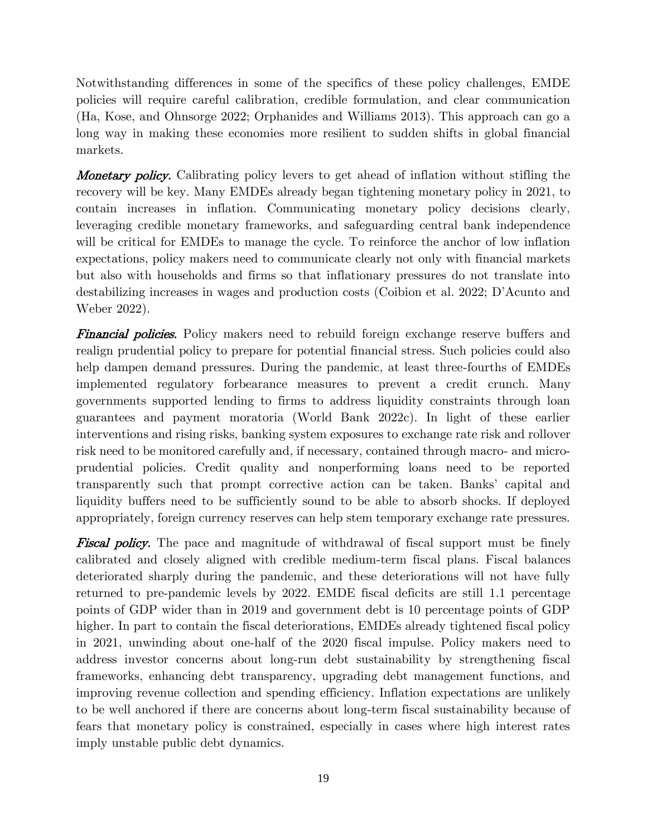Notwithstanding differences in some of the specifics of these policy challenges, EMDE policies will require careful calibration, credible formulation, and clear communication (Ha, Kose, and Ohnsorge 2022; Orphanides and Williams 2013). This approach can go a long way in making these economies more resilient to sudden shifts in global financial markets.

**Monetary policy.** Calibrating policy levers to get ahead of inflation without stifling the recovery will be key. Many EMDEs already began tightening monetary policy in 2021, to contain increases in inflation. Communicating monetary policy decisions clearly, leveraging credible monetary frameworks, and safeguarding central bank independence will be critical for EMDEs to manage the cycle. To reinforce the anchor of low inflation expectations, policy makers need to communicate clearly not only with financial markets but also with households and firms so that inflationary pressures do not translate into destabilizing increases in wages and production costs (Coibion et al. 2022; D'Acunto and Weber 2022).

**Financial policies.** Policy makers need to rebuild foreign exchange reserve buffers and realign prudential policy to prepare for potential financial stress. Such policies could also help dampen demand pressures. During the pandemic, at least three-fourths of EMDEs implemented regulatory forbearance measures to prevent a credit crunch. Many governments supported lending to firms to address liquidity constraints through loan guarantees and payment moratoria (World Bank 2022c). In light of these earlier interventions and rising risks, banking system exposures to exchange rate risk and rollover risk need to be monitored carefully and, if necessary, contained through macro- and microprudential policies. Credit quality and nonperforming loans need to be reported transparently such that prompt corrective action can be taken. Banks' capital and liquidity buffers need to be sufficiently sound to be able to absorb shocks. If deployed appropriately, foreign currency reserves can help stem temporary exchange rate pressures.

**Fiscal policy.** The pace and magnitude of withdrawal of fiscal support must be finely calibrated and closely aligned with credible medium-term fiscal plans. Fiscal balances deteriorated sharply during the pandemic, and these deteriorations will not have fully returned to pre-pandemic levels by 2022. EMDE fiscal deficits are still 1.1 percentage points of GDP wider than in 2019 and government debt is 10 percentage points of GDP higher. In part to contain the fiscal deteriorations, EMDEs already tightened fiscal policy in 2021, unwinding about one-half of the 2020 fiscal impulse. Policy makers need to address investor concerns about long-run debt sustainability by strengthening fiscal frameworks, enhancing debt transparency, upgrading debt management functions, and improving revenue collection and spending efficiency. Inflation expectations are unlikely to be well anchored if there are concerns about long-term fiscal sustainability because of fears that monetary policy is constrained, especially in cases where high interest rates imply unstable public debt dynamics.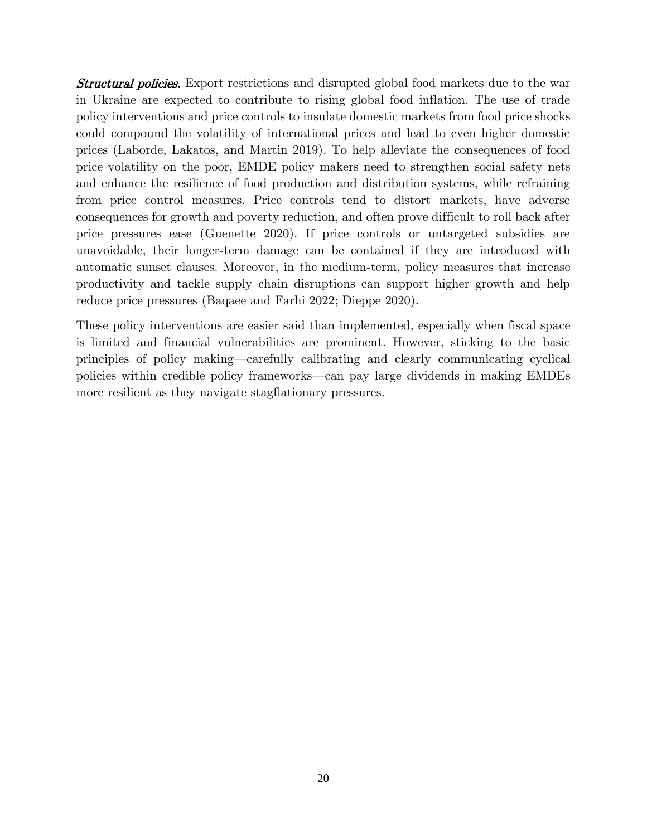**Structural policies.** Export restrictions and disrupted global food markets due to the war in Ukraine are expected to contribute to rising global food inflation. The use of trade policy interventions and price controls to insulate domestic markets from food price shocks could compound the volatility of international prices and lead to even higher domestic prices (Laborde, Lakatos, and Martin 2019). To help alleviate the consequences of food price volatility on the poor, EMDE policy makers need to strengthen social safety nets and enhance the resilience of food production and distribution systems, while refraining from price control measures. Price controls tend to distort markets, have adverse consequences for growth and poverty reduction, and often prove difficult to roll back after price pressures ease (Guenette 2020). If price controls or untargeted subsidies are unavoidable, their longer-term damage can be contained if they are introduced with automatic sunset clauses. Moreover, in the medium-term, policy measures that increase productivity and tackle supply chain disruptions can support higher growth and help reduce price pressures (Baqaee and Farhi 2022; Dieppe 2020).

These policy interventions are easier said than implemented, especially when fiscal space is limited and financial vulnerabilities are prominent. However, sticking to the basic principles of policy making—carefully calibrating and clearly communicating cyclical policies within credible policy frameworks—can pay large dividends in making EMDEs more resilient as they navigate stagflationary pressures.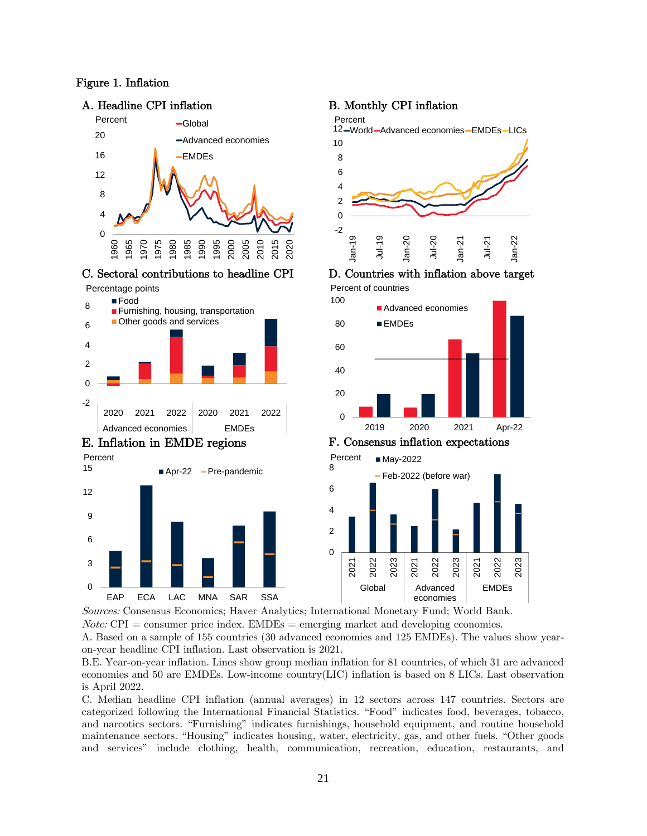#### Figure 1. Inflation





#### C. Sectoral contributions to headline CPI D. Countries with inflation above target

Percentage points

 $\Omega$ 



EAP ECA LAC MNA SAR SSA

#### A. Headline CPI inflation B. Monthly CPI inflation



Percent of countries





Sources: Consensus Economics; Haver Analytics; International Monetary Fund; World Bank.  $Note: \text{CPI} = \text{consumer price index.} \text{EMDEs} = \text{emerging market and developing economics.}$ 

A. Based on a sample of 155 countries (30 advanced economies and 125 EMDEs). The values show yearon-year headline CPI inflation. Last observation is 2021.

B.E. Year-on-year inflation. Lines show group median inflation for 81 countries, of which 31 are advanced economies and 50 are EMDEs. Low-income country(LIC) inflation is based on 8 LICs. Last observation is April 2022.

C. Median headline CPI inflation (annual averages) in 12 sectors across 147 countries. Sectors are categorized following the International Financial Statistics. "Food" indicates food, beverages, tobacco, and narcotics sectors. "Furnishing" indicates furnishings, household equipment, and routine household maintenance sectors. "Housing" indicates housing, water, electricity, gas, and other fuels. "Other goods and services" include clothing, health, communication, recreation, education, restaurants, and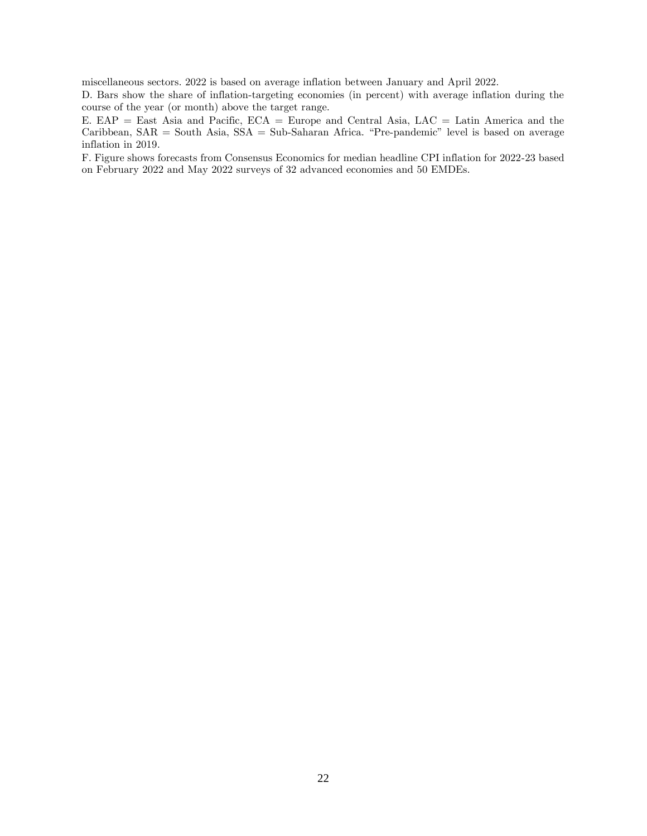miscellaneous sectors. 2022 is based on average inflation between January and April 2022.

D. Bars show the share of inflation-targeting economies (in percent) with average inflation during the course of the year (or month) above the target range.

E. EAP = East Asia and Pacific, ECA = Europe and Central Asia, LAC = Latin America and the Caribbean, SAR = South Asia, SSA = Sub-Saharan Africa. "Pre-pandemic" level is based on average inflation in 2019.

F. Figure shows forecasts from Consensus Economics for median headline CPI inflation for 2022-23 based on February 2022 and May 2022 surveys of 32 advanced economies and 50 EMDEs.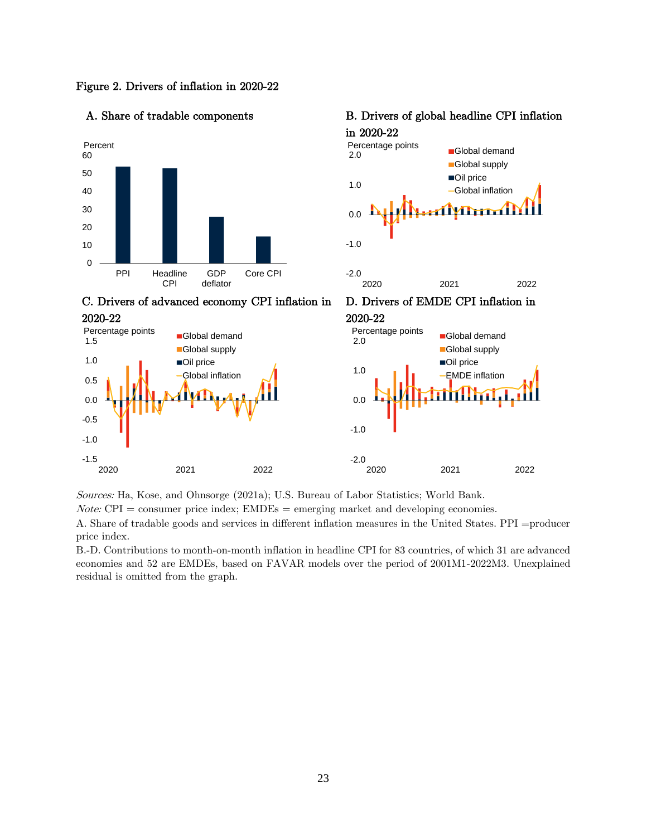Figure 2. Drivers of inflation in 2020-22



## A. Share of tradable components B. Drivers of global headline CPI inflation





C. Drivers of advanced economy CPI inflation in







Sources: Ha, Kose, and Ohnsorge (2021a); U.S. Bureau of Labor Statistics; World Bank.

 $Note: \text{CPI} = \text{consumer price index}; \text{EMDEs} = \text{emerging market and developing economics}.$ 

A. Share of tradable goods and services in different inflation measures in the United States. PPI =producer price index.

B.-D. Contributions to month-on-month inflation in headline CPI for 83 countries, of which 31 are advanced economies and 52 are EMDEs, based on FAVAR models over the period of 2001M1-2022M3. Unexplained residual is omitted from the graph.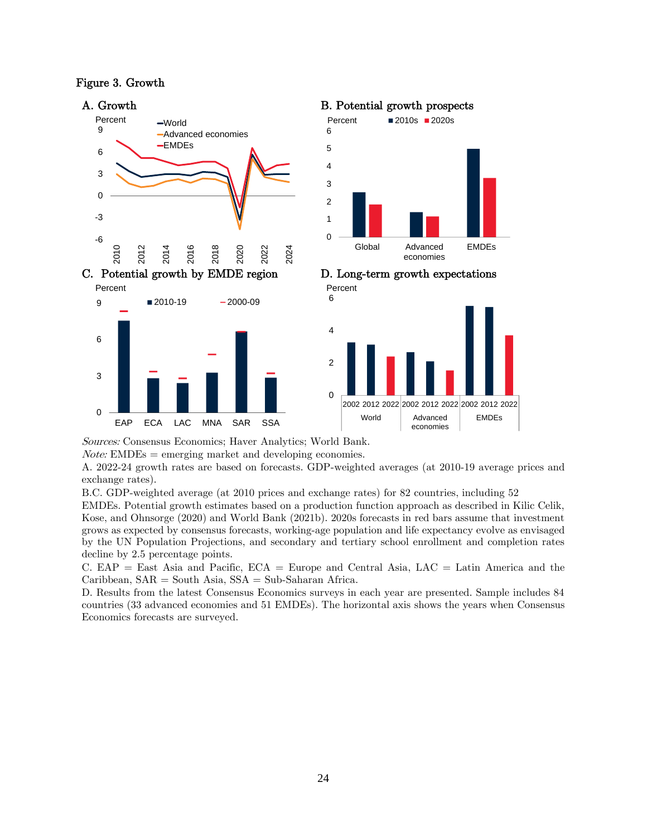#### Figure 3. Growth



Sources: Consensus Economics; Haver Analytics; World Bank.

 $Note: EMDEs = emerging market and developing economics.$ 

A. 2022-24 growth rates are based on forecasts. GDP-weighted averages (at 2010-19 average prices and exchange rates).

B.C. GDP-weighted average (at 2010 prices and exchange rates) for 82 countries, including 52

EMDEs. Potential growth estimates based on a production function approach as described in Kilic Celik, Kose, and Ohnsorge (2020) and World Bank (2021b). 2020s forecasts in red bars assume that investment grows as expected by consensus forecasts, working-age population and life expectancy evolve as envisaged by the UN Population Projections, and secondary and tertiary school enrollment and completion rates decline by 2.5 percentage points.

C. EAP = East Asia and Pacific,  $ECA = Europe$  and Central Asia,  $LAC = Latin$  America and the Caribbean, SAR = South Asia, SSA = Sub-Saharan Africa.

D. Results from the latest Consensus Economics surveys in each year are presented. Sample includes 84 countries (33 advanced economies and 51 EMDEs). The horizontal axis shows the years when Consensus Economics forecasts are surveyed.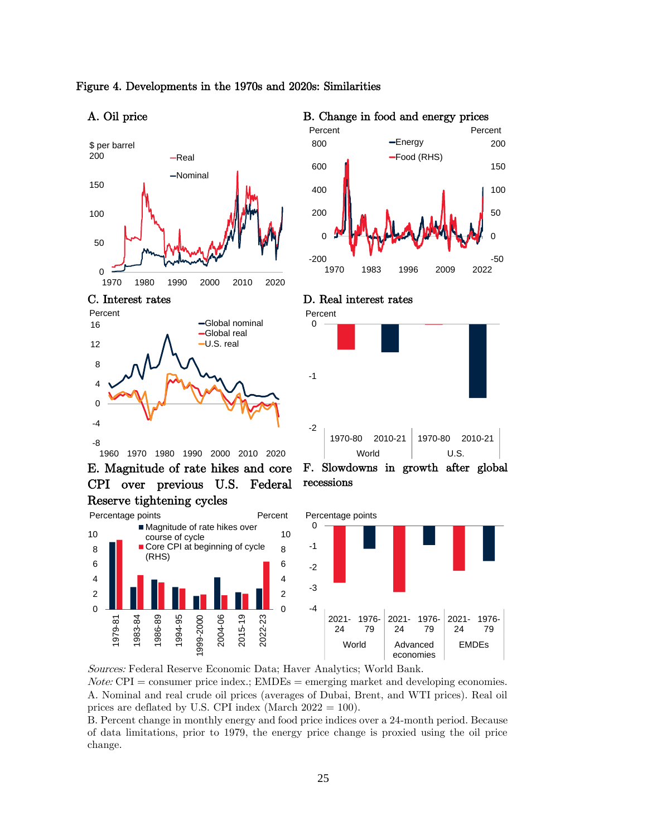

#### Figure 4. Developments in the 1970s and 2020s: Similarities

A. Oil price B. Change in food and energy prices





E. Magnitude of rate hikes and core CPI over previous U.S. Federal Reserve tightening cycles





C. Interest rates D. Real interest rates





Sources: Federal Reserve Economic Data; Haver Analytics; World Bank.

 $Note: \text{CPI} = \text{consumer price index}; \text{EMDEs} = \text{emerging market and developing economics}.$ A. Nominal and real crude oil prices (averages of Dubai, Brent, and WTI prices). Real oil prices are deflated by U.S. CPI index (March  $2022 = 100$ ).

B. Percent change in monthly energy and food price indices over a 24-month period. Because of data limitations, prior to 1979, the energy price change is proxied using the oil price change.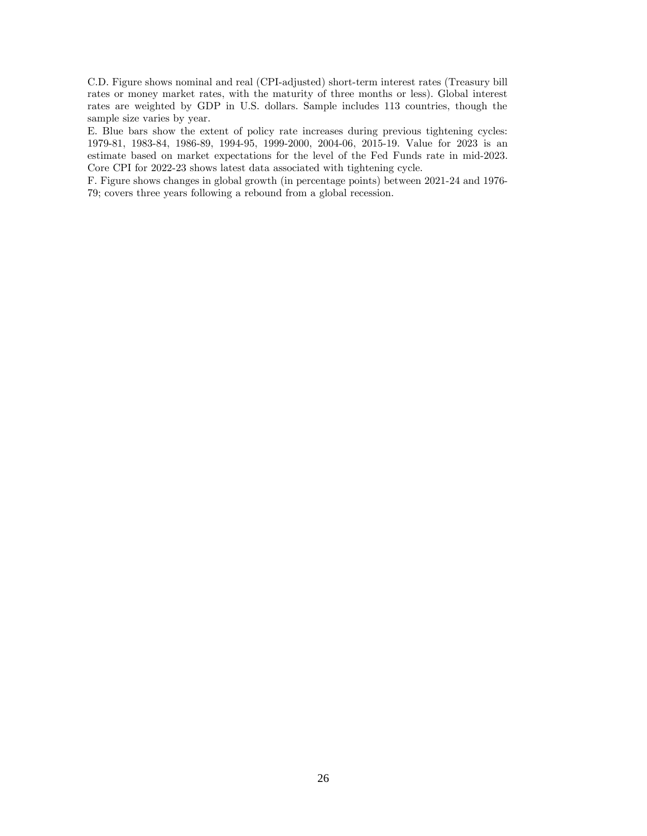C.D. Figure shows nominal and real (CPI-adjusted) short-term interest rates (Treasury bill rates or money market rates, with the maturity of three months or less). Global interest rates are weighted by GDP in U.S. dollars. Sample includes 113 countries, though the sample size varies by year.

E. Blue bars show the extent of policy rate increases during previous tightening cycles: 1979-81, 1983-84, 1986-89, 1994-95, 1999-2000, 2004-06, 2015-19. Value for 2023 is an estimate based on market expectations for the level of the Fed Funds rate in mid-2023. Core CPI for 2022-23 shows latest data associated with tightening cycle.

F. Figure shows changes in global growth (in percentage points) between 2021-24 and 1976- 79; covers three years following a rebound from a global recession.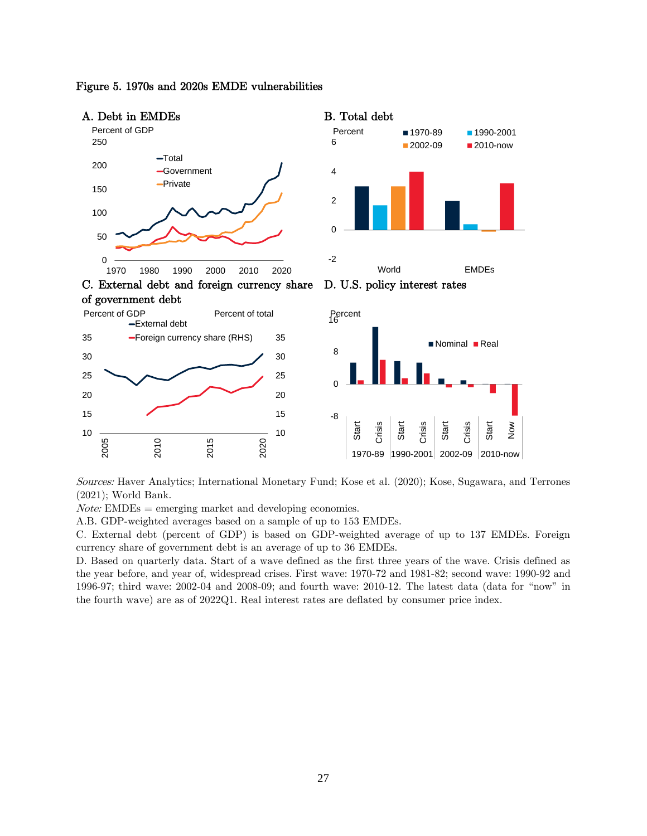

#### Figure 5. 1970s and 2020s EMDE vulnerabilities

Sources: Haver Analytics; International Monetary Fund; Kose et al. (2020); Kose, Sugawara, and Terrones (2021); World Bank.

 $Note: EMDEs = emerging market and developing economics.$ 

A.B. GDP-weighted averages based on a sample of up to 153 EMDEs.

C. External debt (percent of GDP) is based on GDP-weighted average of up to 137 EMDEs. Foreign currency share of government debt is an average of up to 36 EMDEs.

D. Based on quarterly data. Start of a wave defined as the first three years of the wave. Crisis defined as the year before, and year of, widespread crises. First wave: 1970-72 and 1981-82; second wave: 1990-92 and 1996-97; third wave: 2002-04 and 2008-09; and fourth wave: 2010-12. The latest data (data for "now" in the fourth wave) are as of 2022Q1. Real interest rates are deflated by consumer price index.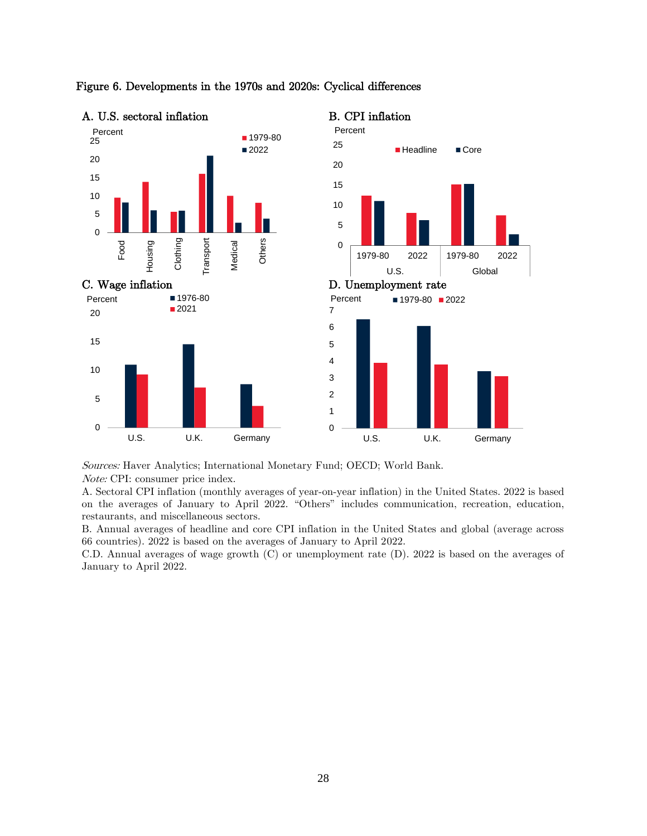

#### Figure 6. Developments in the 1970s and 2020s: Cyclical differences

Sources: Haver Analytics; International Monetary Fund; OECD; World Bank. Note: CPI: consumer price index.

A. Sectoral CPI inflation (monthly averages of year-on-year inflation) in the United States. 2022 is based on the averages of January to April 2022. "Others" includes communication, recreation, education, restaurants, and miscellaneous sectors.

B. Annual averages of headline and core CPI inflation in the United States and global (average across 66 countries). 2022 is based on the averages of January to April 2022.

C.D. Annual averages of wage growth (C) or unemployment rate (D). 2022 is based on the averages of January to April 2022.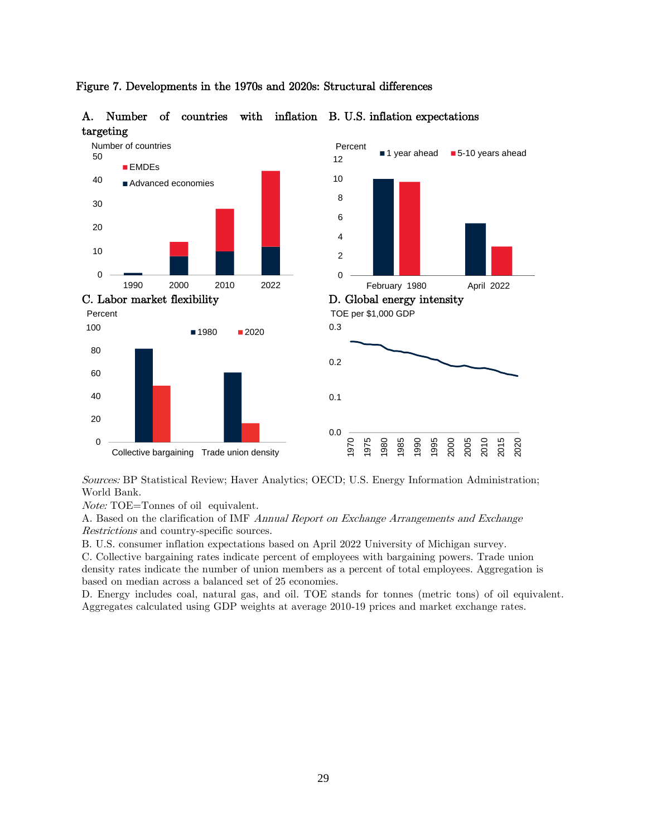

#### Figure 7. Developments in the 1970s and 2020s: Structural differences

A. Number of countries with inflation B. U.S. inflation expectations targeting

Sources: BP Statistical Review; Haver Analytics; OECD; U.S. Energy Information Administration; World Bank.

Note: TOE=Tonnes of oil equivalent.

A. Based on the clarification of IMF Annual Report on Exchange Arrangements and Exchange Restrictions and country-specific sources.

B. U.S. consumer inflation expectations based on April 2022 University of Michigan survey.

C. Collective bargaining rates indicate percent of employees with bargaining powers. Trade union density rates indicate the number of union members as a percent of total employees. Aggregation is based on median across a balanced set of 25 economies.

D. Energy includes coal, natural gas, and oil. TOE stands for tonnes (metric tons) of oil equivalent. Aggregates calculated using GDP weights at average 2010-19 prices and market exchange rates.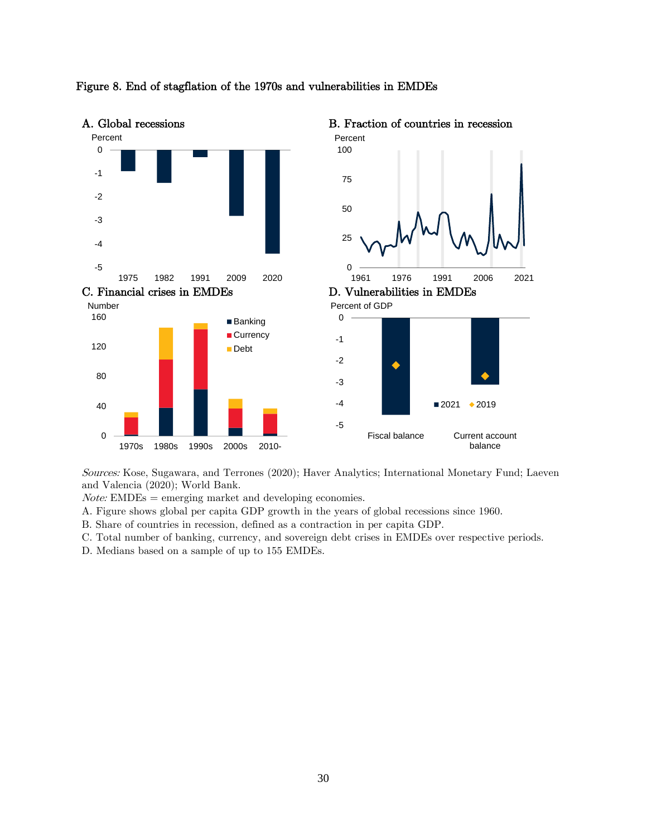

#### Figure 8. End of stagflation of the 1970s and vulnerabilities in EMDEs

Sources: Kose, Sugawara, and Terrones (2020); Haver Analytics; International Monetary Fund; Laeven and Valencia (2020); World Bank.

 $Note: EMDEs = emerging market and developing economics.$ 

A. Figure shows global per capita GDP growth in the years of global recessions since 1960.

B. Share of countries in recession, defined as a contraction in per capita GDP.

C. Total number of banking, currency, and sovereign debt crises in EMDEs over respective periods.

D. Medians based on a sample of up to 155 EMDEs.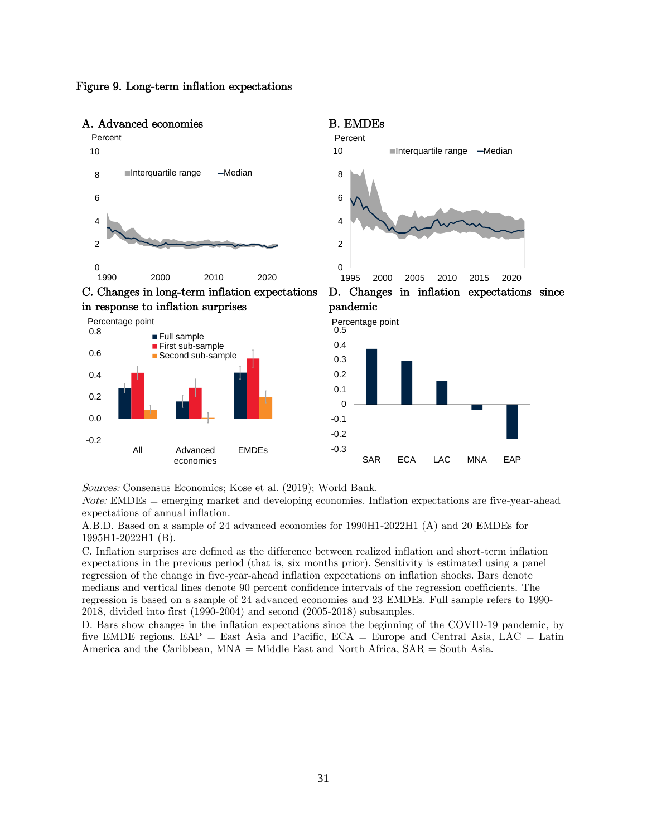

Figure 9. Long-term inflation expectations



Sources: Consensus Economics; Kose et al. (2019); World Bank.

 $Note: EMDEs = emerging market and developing economics. Inflation expectations are five-year-ahead$ expectations of annual inflation.

A.B.D. Based on a sample of 24 advanced economies for 1990H1-2022H1 (A) and 20 EMDEs for 1995H1-2022H1 (B).

C. Inflation surprises are defined as the difference between realized inflation and short-term inflation expectations in the previous period (that is, six months prior). Sensitivity is estimated using a panel regression of the change in five-year-ahead inflation expectations on inflation shocks. Bars denote medians and vertical lines denote 90 percent confidence intervals of the regression coefficients. The regression is based on a sample of 24 advanced economies and 23 EMDEs. Full sample refers to 1990- 2018, divided into first (1990-2004) and second (2005-2018) subsamples.

D. Bars show changes in the inflation expectations since the beginning of the COVID-19 pandemic, by five EMDE regions. EAP = East Asia and Pacific,  $ECA = Europe$  and Central Asia,  $LAC = Latin$ America and the Caribbean,  $MNA = Midde East$  and North Africa,  $SAR = South Asia$ .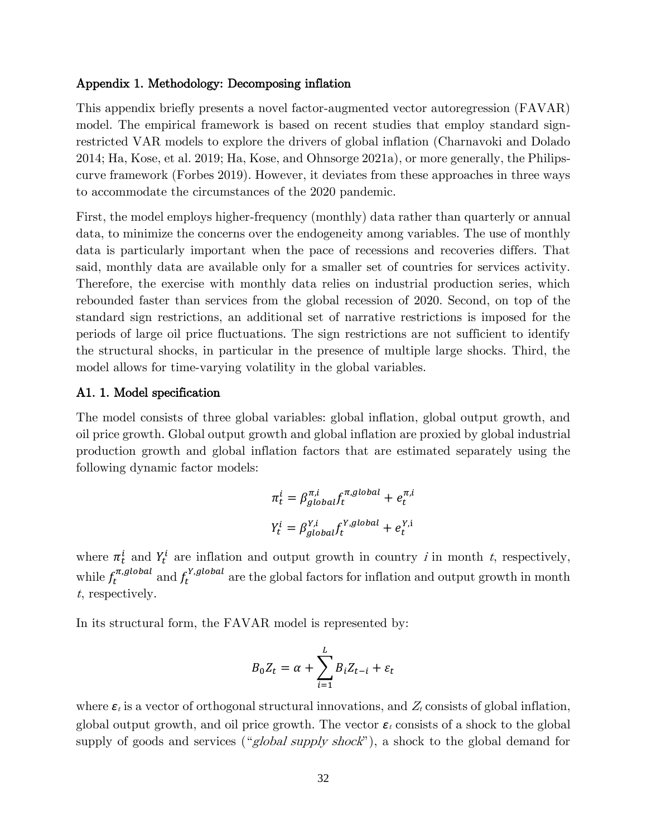#### Appendix 1. Methodology: Decomposing inflation

This appendix briefly presents a novel factor-augmented vector autoregression (FAVAR) model. The empirical framework is based on recent studies that employ standard signrestricted VAR models to explore the drivers of global inflation (Charnavoki and Dolado 2014; Ha, Kose, et al. 2019; Ha, Kose, and Ohnsorge 2021a), or more generally, the Philipscurve framework (Forbes 2019). However, it deviates from these approaches in three ways to accommodate the circumstances of the 2020 pandemic.

First, the model employs higher-frequency (monthly) data rather than quarterly or annual data, to minimize the concerns over the endogeneity among variables. The use of monthly data is particularly important when the pace of recessions and recoveries differs. That said, monthly data are available only for a smaller set of countries for services activity. Therefore, the exercise with monthly data relies on industrial production series, which rebounded faster than services from the global recession of 2020. Second, on top of the standard sign restrictions, an additional set of narrative restrictions is imposed for the periods of large oil price fluctuations. The sign restrictions are not sufficient to identify the structural shocks, in particular in the presence of multiple large shocks. Third, the model allows for time-varying volatility in the global variables.

#### A1. 1. Model specification

The model consists of three global variables: global inflation, global output growth, and oil price growth. Global output growth and global inflation are proxied by global industrial production growth and global inflation factors that are estimated separately using the following dynamic factor models:

$$
\pi_t^i = \beta_{global}^{\pi, i} f_t^{\pi, global} + e_t^{\pi, i}
$$

$$
Y_t^i = \beta_{global}^{Y, i} f_t^{Y, global} + e_t^{Y, i}
$$

where  $\pi_t^i$  and  $Y_t^i$  are inflation and output growth in country *i* in month *t*, respectively, while  $f_t^{\pi, global}$  and  $f_t^{Y,global}$  are the global factors for inflation and output growth in month <sup>t</sup>, respectively.

In its structural form, the FAVAR model is represented by:

$$
B_0 Z_t = \alpha + \sum_{i=1}^L B_i Z_{t-i} + \varepsilon_t
$$

where  $\varepsilon_t$  is a vector of orthogonal structural innovations, and  $Z_t$  consists of global inflation, global output growth, and oil price growth. The vector  $\varepsilon_t$  consists of a shock to the global supply of goods and services ("global supply shock"), a shock to the global demand for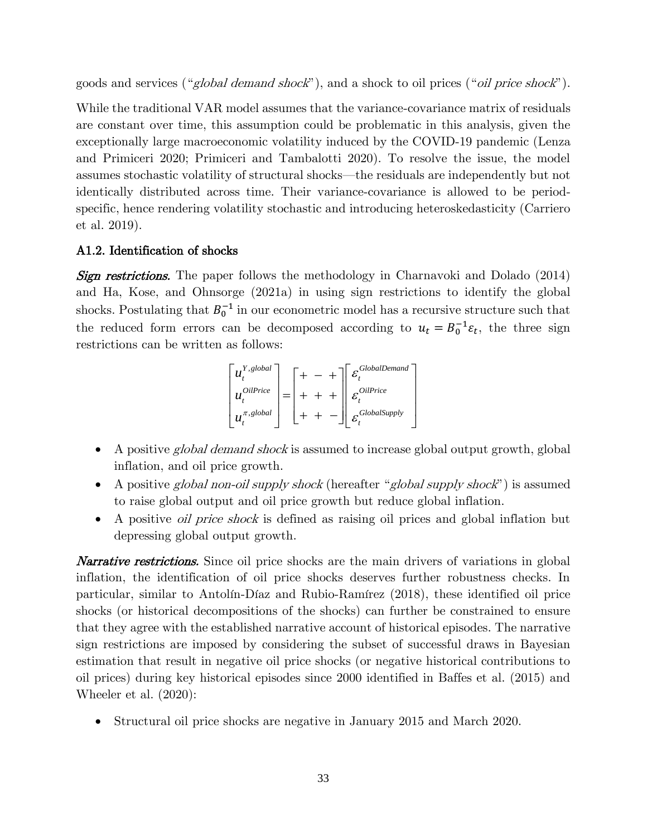goods and services ("global demand shock"), and a shock to oil prices ("oil price shock").

While the traditional VAR model assumes that the variance-covariance matrix of residuals are constant over time, this assumption could be problematic in this analysis, given the exceptionally large macroeconomic volatility induced by the COVID-19 pandemic (Lenza and Primiceri 2020; Primiceri and Tambalotti 2020). To resolve the issue, the model assumes stochastic volatility of structural shocks—the residuals are independently but not identically distributed across time. Their variance-covariance is allowed to be periodspecific, hence rendering volatility stochastic and introducing heteroskedasticity (Carriero et al. 2019).

## A1.2. Identification of shocks

**Sign restrictions.** The paper follows the methodology in Charnavoki and Dolado (2014) and Ha, Kose, and Ohnsorge (2021a) in using sign restrictions to identify the global shocks. Postulating that  $B_0^{-1}$  in our econometric model has a recursive structure such that the reduced form errors can be decomposed according to  $u_t = B_0^{-1} \varepsilon_t$ , the three sign restrictions can be written as follows:

$$
\begin{bmatrix} u_t^{Y,global} \\ u_t^{OilPrice} \\ u_t^{\pi,global} \end{bmatrix} = \begin{bmatrix} + & - & + \\ + & + & + \\ + & + & + \end{bmatrix} \begin{bmatrix} \varepsilon_t^{GlobalDemand} \\ \varepsilon_t^{OilPrice} \\ \varepsilon_t^{GlobalSupply} \end{bmatrix}
$$

- A positive *global demand shock* is assumed to increase global output growth, global inflation, and oil price growth.
- A positive global non-oil supply shock (hereafter "global supply shock") is assumed to raise global output and oil price growth but reduce global inflation. •
- A positive oil price shock is defined as raising oil prices and global inflation but depressing global output growth.

**Narrative restrictions.** Since oil price shocks are the main drivers of variations in global inflation, the identification of oil price shocks deserves further robustness checks. In particular, similar to Antolín-Díaz and Rubio-Ramírez (2018), these identified oil price shocks (or historical decompositions of the shocks) can further be constrained to ensure that they agree with the established narrative account of historical episodes. The narrative sign restrictions are imposed by considering the subset of successful draws in Bayesian estimation that result in negative oil price shocks (or negative historical contributions to oil prices) during key historical episodes since 2000 identified in Baffes et al. (2015) and Wheeler et al. (2020):

• Structural oil price shocks are negative in January 2015 and March 2020.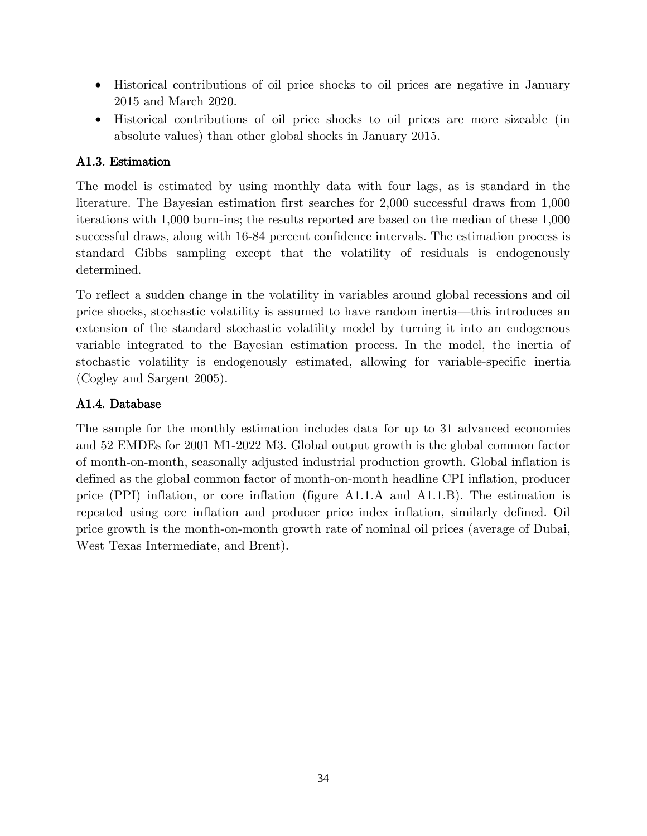- Historical contributions of oil price shocks to oil prices are negative in January 2015 and March 2020. •
- Historical contributions of oil price shocks to oil prices are more sizeable (in absolute values) than other global shocks in January 2015.

## A1.3. Estimation

The model is estimated by using monthly data with four lags, as is standard in the literature. The Bayesian estimation first searches for 2,000 successful draws from 1,000 iterations with 1,000 burn-ins; the results reported are based on the median of these 1,000 successful draws, along with 16-84 percent confidence intervals. The estimation process is standard Gibbs sampling except that the volatility of residuals is endogenously determined.

To reflect a sudden change in the volatility in variables around global recessions and oil price shocks, stochastic volatility is assumed to have random inertia—this introduces an extension of the standard stochastic volatility model by turning it into an endogenous variable integrated to the Bayesian estimation process. In the model, the inertia of stochastic volatility is endogenously estimated, allowing for variable-specific inertia (Cogley and Sargent 2005).

## A1.4. Database

The sample for the monthly estimation includes data for up to 31 advanced economies and 52 EMDEs for 2001 M1-2022 M3. Global output growth is the global common factor of month-on-month, seasonally adjusted industrial production growth. Global inflation is defined as the global common factor of month-on-month headline CPI inflation, producer price (PPI) inflation, or core inflation (figure A1.1.A and A1.1.B). The estimation is repeated using core inflation and producer price index inflation, similarly defined. Oil price growth is the month-on-month growth rate of nominal oil prices (average of Dubai, West Texas Intermediate, and Brent).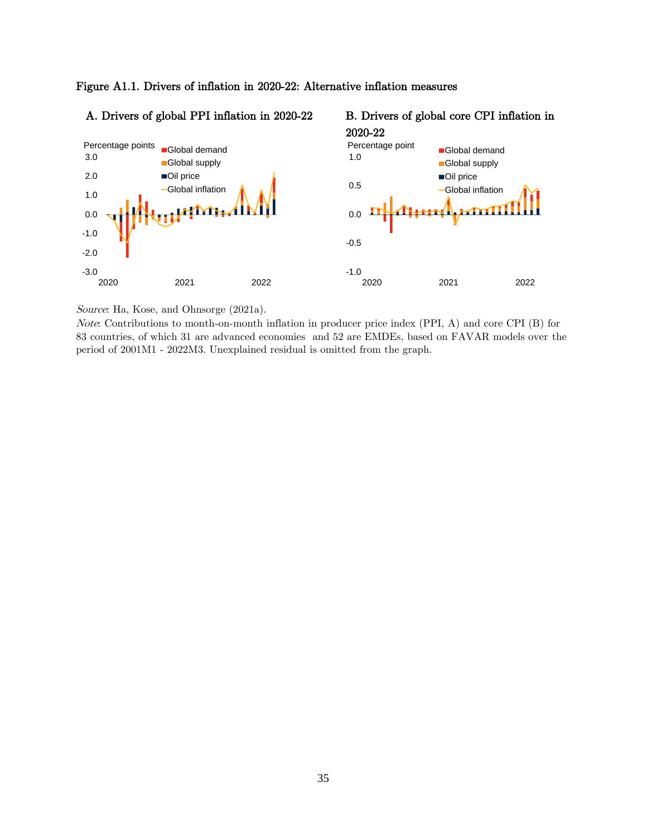



Source: Ha, Kose, and Ohnsorge (2021a).

Note: Contributions to month-on-month inflation in producer price index (PPI, A) and core CPI (B) for 83 countries, of which 31 are advanced economies and 52 are EMDEs, based on FAVAR models over the period of 2001M1 - 2022M3. Unexplained residual is omitted from the graph.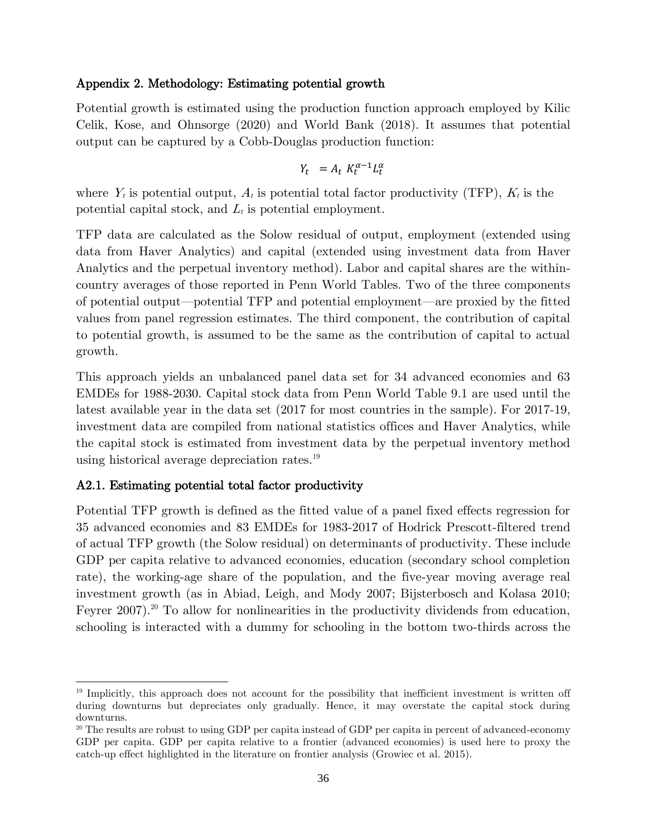#### Appendix 2. Methodology: Estimating potential growth

Potential growth is estimated using the production function approach employed by Kilic Celik, Kose, and Ohnsorge (2020) and World Bank (2018). It assumes that potential output can be captured by a Cobb-Douglas production function:

$$
Y_t = A_t K_t^{\alpha - 1} L_t^{\alpha}
$$

where  $Y_t$  is potential output,  $A_t$  is potential total factor productivity (TFP),  $K_t$  is the potential capital stock, and  $L_t$  is potential employment.

TFP data are calculated as the Solow residual of output, employment (extended using data from Haver Analytics) and capital (extended using investment data from Haver Analytics and the perpetual inventory method). Labor and capital shares are the withincountry averages of those reported in Penn World Tables. Two of the three components of potential output—potential TFP and potential employment—are proxied by the fitted values from panel regression estimates. The third component, the contribution of capital to potential growth, is assumed to be the same as the contribution of capital to actual growth.

This approach yields an unbalanced panel data set for 34 advanced economies and 63 EMDEs for 1988-2030. Capital stock data from Penn World Table 9.1 are used until the latest available year in the data set (2017 for most countries in the sample). For 2017-19, investment data are compiled from national statistics offices and Haver Analytics, while the capital stock is estimated from investment data by the perpetual inventory method using historical average depreciation rates.<sup>19</sup>

#### A2.1. Estimating potential total factor productivity

Potential TFP growth is defined as the fitted value of a panel fixed effects regression for 35 advanced economies and 83 EMDEs for 1983-2017 of Hodrick Prescott-filtered trend of actual TFP growth (the Solow residual) on determinants of productivity. These include GDP per capita relative to advanced economies, education (secondary school completion rate), the working-age share of the population, and the five-year moving average real investment growth (as in Abiad, Leigh, and Mody 2007; Bijsterbosch and Kolasa 2010; Feyrer 2007).<sup>20</sup> To allow for nonlinearities in the productivity dividends from education, schooling is interacted with a dummy for schooling in the bottom two-thirds across the

<sup>&</sup>lt;sup>19</sup> Implicitly, this approach does not account for the possibility that inefficient investment is written off during downturns but depreciates only gradually. Hence, it may overstate the capital stock during downturns.

<sup>&</sup>lt;sup>20</sup> The results are robust to using GDP per capita instead of GDP per capita in percent of advanced-economy GDP per capita. GDP per capita relative to a frontier (advanced economies) is used here to proxy the catch-up effect highlighted in the literature on frontier analysis (Growiec et al. 2015).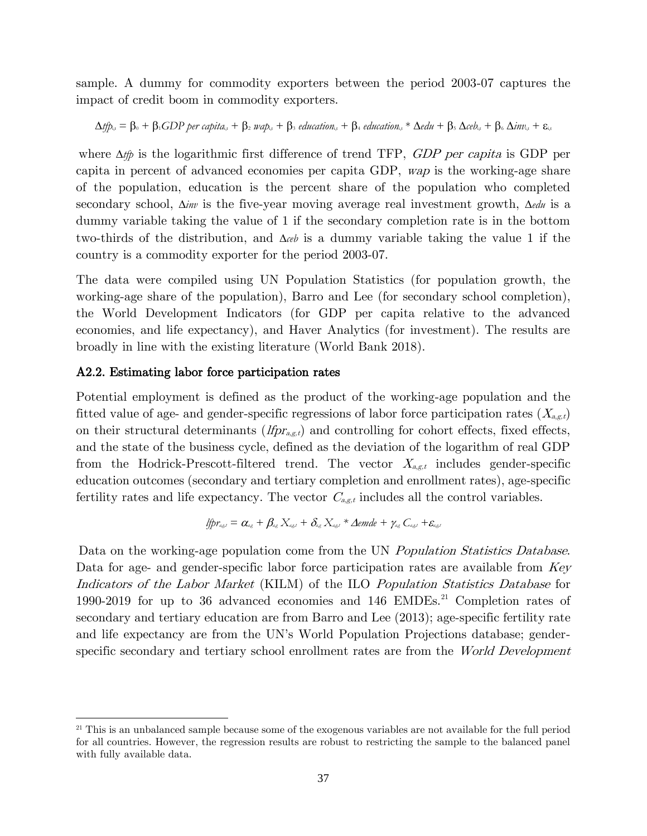sample. A dummy for commodity exporters between the period 2003-07 captures the impact of credit boom in commodity exporters.

$$
\Delta t \hat{p}_{t,t} = \beta_0 + \beta_1 GDP\,per\,cap\,ter\,cap\,t + \beta_2\,map_{t,t} + \beta_3\,eduction_{t,t} + \beta_4\,eduction_{t,t} * \Delta edu + \beta_5\, \Delta ceb_{t,t} + \beta_6\, \Delta inv_{t,t} + \epsilon_{i,t}
$$

where  $\Delta t/p$  is the logarithmic first difference of trend TFP, *GDP per capita* is GDP per capita in percent of advanced economies per capita GDP, wap is the working-age share of the population, education is the percent share of the population who completed secondary school,  $\Delta inv$  is the five-year moving average real investment growth,  $\Delta e du$  is a dummy variable taking the value of 1 if the secondary completion rate is in the bottom two-thirds of the distribution, and  $\Delta_{ce}$  is a dummy variable taking the value 1 if the country is a commodity exporter for the period 2003-07.

The data were compiled using UN Population Statistics (for population growth, the working-age share of the population), Barro and Lee (for secondary school completion), the World Development Indicators (for GDP per capita relative to the advanced economies, and life expectancy), and Haver Analytics (for investment). The results are broadly in line with the existing literature (World Bank 2018).

#### A2.2. Estimating labor force participation rates

Potential employment is defined as the product of the working-age population and the fitted value of age- and gender-specific regressions of labor force participation rates  $(X_{a,\varepsilon,t})$ on their structural determinants  $(lfp_{x,gt})$  and controlling for cohort effects, fixed effects, and the state of the business cycle, defined as the deviation of the logarithm of real GDP from the Hodrick-Prescott-filtered trend. The vector  $X_{a,g,t}$  includes gender-specific education outcomes (secondary and tertiary completion and enrollment rates), age-specific fertility rates and life expectancy. The vector  $C_{a,g,t}$  includes all the control variables.

$$
\text{Lip}_{\text{a}_{\text{a}_{\text{c}}}} = \alpha_{\text{a}_{\text{c}}} + \beta_{\text{a}_{\text{c}}}\,X_{\text{a}_{\text{c}}\text{a}_{\text{c}}} + \delta_{\text{a}_{\text{c}}}\,X_{\text{a}_{\text{c}}\text{a}_{\text{c}}} + \Delta \text{emde} + \gamma_{\text{a}_{\text{c}}}\,C_{\text{a}_{\text{c}}\text{a}_{\text{c}}} + \varepsilon_{\text{a}_{\text{c}}\text{a}_{\text{c}}}
$$

Data on the working-age population come from the UN *Population Statistics Database*. Data for age- and gender-specific labor force participation rates are available from Key Indicators of the Labor Market (KILM) of the ILO Population Statistics Database for 1990-2019 for up to 36 advanced economies and 146 EMDEs.<sup>21</sup> Completion rates of secondary and tertiary education are from Barro and Lee (2013); age-specific fertility rate and life expectancy are from the UN's World Population Projections database; genderspecific secondary and tertiary school enrollment rates are from the *World Development* 

<sup>&</sup>lt;sup>21</sup> This is an unbalanced sample because some of the exogenous variables are not available for the full period for all countries. However, the regression results are robust to restricting the sample to the balanced panel with fully available data.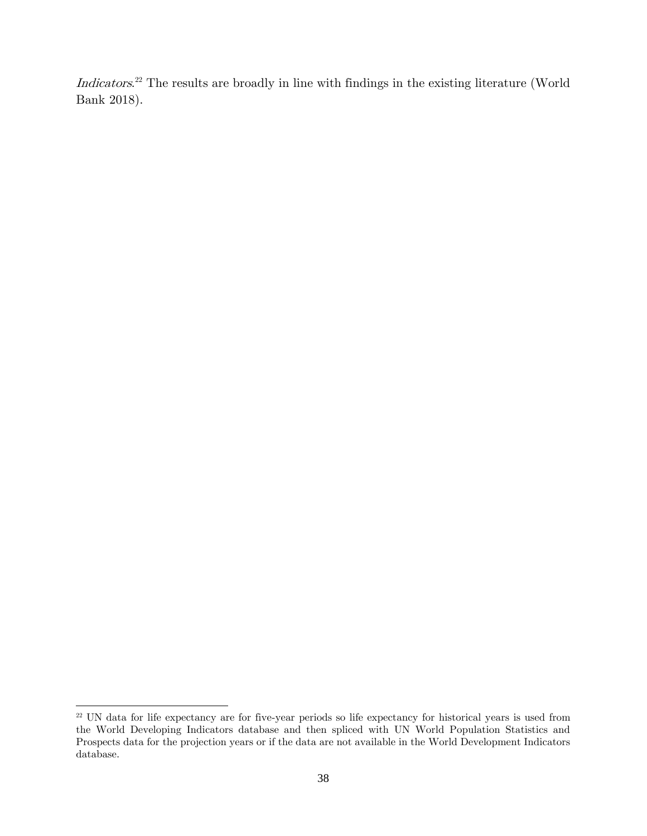Indicators.<sup>22</sup> The results are broadly in line with findings in the existing literature (World Bank 2018).

<sup>&</sup>lt;sup>22</sup> UN data for life expectancy are for five-year periods so life expectancy for historical years is used from the World Developing Indicators database and then spliced with UN World Population Statistics and Prospects data for the projection years or if the data are not available in the World Development Indicators database.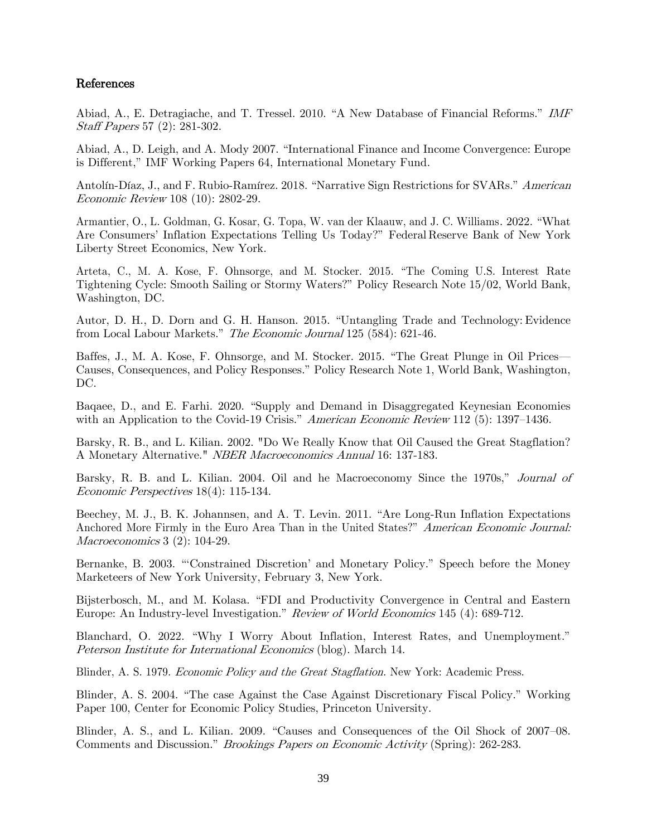#### References

Abiad, A., E. Detragiache, and T. Tressel. 2010. "A New Database of Financial Reforms." IMF Staff Papers 57 (2): 281-302.

Abiad, A., D. Leigh, and A. Mody 2007. "International Finance and Income Convergence: Europe is Different," IMF Working Papers 64, International Monetary Fund.

Antolín-Díaz, J., and F. Rubio-Ramírez. 2018. "Narrative Sign Restrictions for SVARs." American Economic Review 108 (10): 2802-29.

Armantier, O., L. Goldman, G. Kosar, G. Topa, W. van der Klaauw, and J. C. Williams. 2022. "[What](https://libertystreeteconomics.newyorkfed.org/2022/02/what-are-consumers-inflation-expectations-telling-us-today/) Are Consumers' Inflation [Expectations](https://libertystreeteconomics.newyorkfed.org/2022/02/what-are-consumers-inflation-expectations-telling-us-today/) Telling Us Today?" Federal Reserve Bank of New York Liberty Street Economics, New York.

Arteta, C., M. A. Kose, F. Ohnsorge, and M. Stocker. 2015. "The Coming U.S. Interest Rate Tightening Cycle: Smooth Sailing or Stormy Waters?" Policy Research Note 15/02, World Bank, Washington, DC.

Autor, D. H., D. Dorn and G. H. Hanson. 2015. "Untangling Trade and Technology: Evidence from Local Labour Markets." The Economic Journal 125 (584): 621-46.

Baffes, J., M. A. Kose, F. Ohnsorge, and M. Stocker. 2015. "The Great Plunge in Oil Prices— Causes, Consequences, and Policy Responses." Policy Research Note 1, World Bank, Washington, DC.

Baqaee, D., and E. Farhi. 2020. "Supply and Demand in Disaggregated Keynesian Economies with an Application to the Covid-19 Crisis." American Economic Review 112 (5): 1397–1436.

Barsky, R. B., and L. Kilian. 2002. "Do We Really Know that Oil Caused the Great Stagflation? A Monetary Alternative." NBER Macroeconomics Annual 16: 137-183.

Barsky, R. B. and L. Kilian. 2004. Oil and he Macroeconomy Since the 1970s," *Journal of* Economic Perspectives 18(4): 115-134.

Beechey, M. J., B. K. Johannsen, and A. T. Levin. 2011. "Are Long-Run Inflation Expectations Anchored More Firmly in the Euro Area Than in the United States?" American Economic Journal: Macroeconomics 3 (2): 104-29.

Bernanke, B. 2003. "'Constrained Discretion' and Monetary Policy." Speech before the Money Marketeers of New York University, February 3, New York.

Bijsterbosch, M., and M. Kolasa. "FDI and Productivity Convergence in Central and Eastern Europe: An Industry-level Investigation." Review of World Economics 145 (4): 689-712.

Blanchard, O. 2022. "Why I Worry About [Inflation,](https://www.piie.com/blogs/realtime-economic-issues-watch/why-i-worry-about-inflation-interest-rates-and-unemployment) Interest Rates, and [Unemployment](https://www.piie.com/blogs/realtime-economic-issues-watch/why-i-worry-about-inflation-interest-rates-and-unemployment)." Peterson Institute for International Economics (blog). March 14.

Blinder, A. S. 1979. Economic Policy and the Great Stagflation. New York: Academic Press.

Blinder, A. S. 2004. "The case Against the Case Against Discretionary Fiscal Policy." Working Paper 100, Center for Economic Policy Studies, Princeton University.

Blinder, A. S., and L. Kilian. 2009. "Causes and Consequences of the Oil Shock of 2007–08. Comments and Discussion." Brookings Papers on Economic Activity (Spring): 262-283.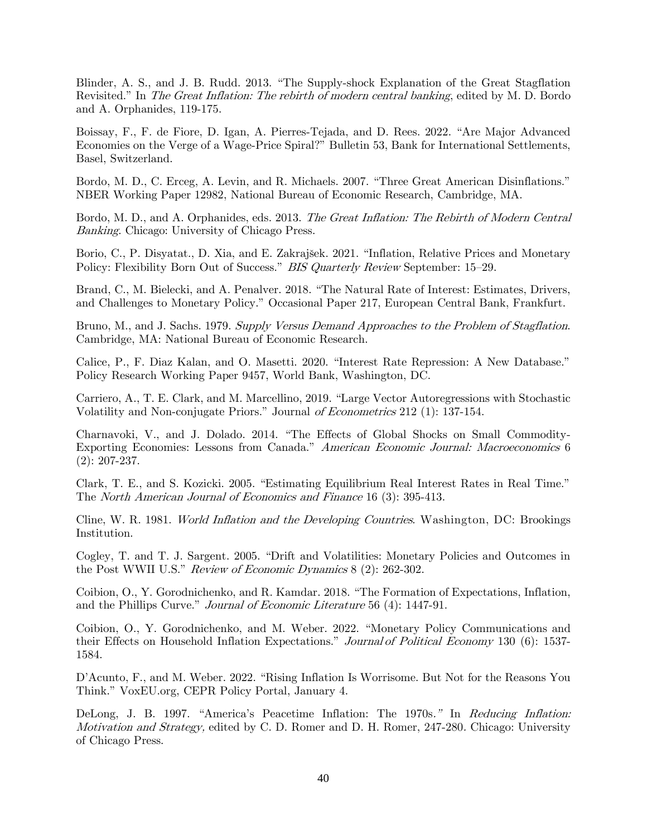Blinder, A. S., and J. B. Rudd. 2013. "The Supply-shock Explanation of the Great Stagflation Revisited." In *The Great Inflation: The rebirth of modern central banking*, edited by M. D. Bordo and A. Orphanides, 119-175.

Boissay, F., F. de Fiore, D. Igan, A. Pierres-Tejada, and D. Rees. 2022. "Are Major Advanced Economies on the Verge of a Wage-Price Spiral?" Bulletin 53, Bank for International Settlements, Basel, Switzerland.

Bordo, M. D., C. Erceg, A. Levin, and R. Michaels. 2007. "Three Great American Disinflations." NBER Working Paper 12982, National Bureau of Economic Research, Cambridge, MA.

Bordo, M. D., and A. Orphanides, eds. 2013. The Great Inflation: The Rebirth of Modern Central Banking. Chicago: University of Chicago Press.

Borio, C., P. Disyatat., D. Xia, and E. Zakrajšek. 2021. "Inflation, Relative Prices and Monetary Policy: Flexibility Born Out of Success." *BIS Quarterly Review* September: 15–29.

Brand, C., M. Bielecki, and A. Penalver. 2018. "The Natural Rate of Interest: Estimates, Drivers, and Challenges to Monetary Policy." Occasional Paper 217, European Central Bank, Frankfurt.

Bruno, M., and J. Sachs. 1979. Supply Versus Demand Approaches to the Problem of Stagflation. Cambridge, MA: National Bureau of Economic Research.

Calice, P., F. Diaz Kalan, and O. Masetti. 2020. "Interest Rate Repression: A New Database." Policy Research Working Paper 9457, World Bank, Washington, DC.

Carriero, A., T. E. Clark, and M. Marcellino, 2019. "Large Vector Autoregressions with Stochastic Volatility and Non-conjugate Priors." Journal of Econometrics 212 (1): 137-154.

Charnavoki, V., and J. Dolado. 2014. "The Effects of Global Shocks on Small Commodity-Exporting Economies: Lessons from Canada." American Economic Journal: Macroeconomics 6 (2): 207-237.

Clark, T. E., and S. Kozicki. 2005. "Estimating Equilibrium Real Interest Rates in Real Time." The North American Journal of Economics and Finance 16 (3): 395-413.

Cline, W. R. 1981. World Inflation and the Developing Countries. Washington, DC: Brookings Institution.

Cogley, T. and T. J. Sargent. 2005. "Drift and Volatilities: Monetary Policies and Outcomes in the Post WWII U.S." Review of Economic Dynamics 8 (2): 262-302.

Coibion, O., Y. Gorodnichenko, and R. Kamdar. 2018. "The Formation of Expectations, Inflation, and the Phillips Curve." Journal of Economic Literature 56 (4): 1447-91.

Coibion, O., Y. Gorodnichenko, and M. Weber. 2022. "Monetary Policy Communications and their Effects on Household Inflation Expectations." Journal of Political Economy 130 (6): 1537-1584.

D'Acunto, F., and M. Weber. 2022. "Rising Inflation Is Worrisome. But Not for the Reasons You Think." VoxEU.org, CEPR Policy Portal, January 4.

DeLong, J. B. 1997. "America's Peacetime Inflation: The 1970s." In Reducing Inflation: Motivation and Strategy, edited by C. D. Romer and D. H. Romer, 247-280. Chicago: University of Chicago Press.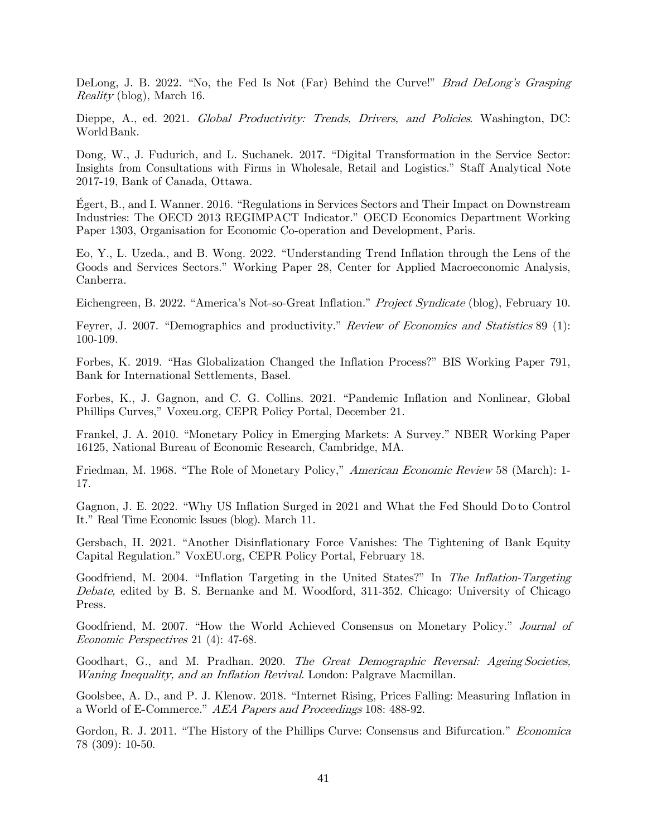DeLong, J. B. 2022. "No, the Fed Is Not (Far) Behind the Curve!" Brad DeLong's Grasping Reality (blog), March 16.

Dieppe, A., ed. 2021. Global Productivity: Trends, Drivers, and Policies. Washington, DC: World Bank.

Dong, W., J. Fudurich, and L. Suchanek. 2017. "Digital Transformation in the Service Sector: Insights from Consultations with Firms in Wholesale, Retail and Logistics." Staff Analytical Note 2017-19, Bank of Canada, Ottawa.

Égert, B., and I. Wanner. 2016. "Regulations in Services Sectors and Their Impact on Downstream Industries: The OECD 2013 REGIMPACT Indicator." OECD Economics Department Working Paper 1303, Organisation for Economic Co-operation and Development, Paris.

Eo, Y., L. Uzeda., and B. Wong. 2022. "Understanding Trend Inflation through the Lens of the Goods and Services Sectors." Working Paper 28, Center for Applied Macroeconomic Analysis, Canberra.

Eichengreen, B. 2022. "America's Not-so-Great Inflation." Project Syndicate (blog), February 10.

Feyrer, J. 2007. "Demographics and productivity." Review of Economics and Statistics 89 (1): 100-109.

Forbes, K. 2019. "Has Globalization Changed the Inflation Process?" BIS Working Paper 791, Bank for International Settlements, Basel.

Forbes, K., J. Gagnon, and C. G. Collins. 2021. "Pandemic Inflation and Nonlinear, Global Phillips Curves," Voxeu.org, CEPR Policy Portal, December 21.

Frankel, J. A. 2010. "Monetary Policy in Emerging Markets: A Survey." NBER Working Paper 16125, National Bureau of Economic Research, Cambridge, MA.

Friedman, M. 1968. "The Role of Monetary Policy," American Economic Review 58 (March): 1-17.

Gagnon, J. E. 2022. "[Why US Inflation Surged in 2021 and What the Fed Should Do](https://www.piie.com/blogs/realtime-economic-issues-watch/why-us-inflation-surged-2021-and-what-fed-should-do-control-it) to [Control](https://www.piie.com/blogs/realtime-economic-issues-watch/why-us-inflation-surged-2021-and-what-fed-should-do-control-it) [It](https://www.piie.com/blogs/realtime-economic-issues-watch/why-us-inflation-surged-2021-and-what-fed-should-do-control-it)." Real Time Economic Issues (blog). March 11.

Gersbach, H. 2021. "[Another Disinflationary Force Vanishes: The Tightening of](https://voxeu.org/article/tightening-bank-equity-capital-regulation) Bank [Equity](https://voxeu.org/article/tightening-bank-equity-capital-regulation) Capital [Regulation."](https://voxeu.org/article/tightening-bank-equity-capital-regulation) VoxEU.org, CEPR Policy Portal, February 18.

Goodfriend, M. 2004. "Inflation Targeting in the United States?" In The Inflation-Targeting Debate, edited by B. S. Bernanke and M. Woodford, 311-352. Chicago: University of Chicago Press.

Goodfriend, M. 2007. "How the World Achieved Consensus on Monetary Policy." *Journal of* Economic Perspectives 21 (4): 47-68.

Goodhart, G., and M. Pradhan. 2020. The Great Demographic Reversal: Ageing Societies, Waning Inequality, and an Inflation Revival. London: Palgrave Macmillan.

Goolsbee, A. D., and P. J. Klenow. 2018. "Internet Rising, Prices Falling: Measuring Inflation in a World of E-Commerce." AEA Papers and Proceedings 108: 488-92.

Gordon, R. J. 2011. "The History of the Phillips Curve: Consensus and Bifurcation." *Economica* 78 (309): 10-50.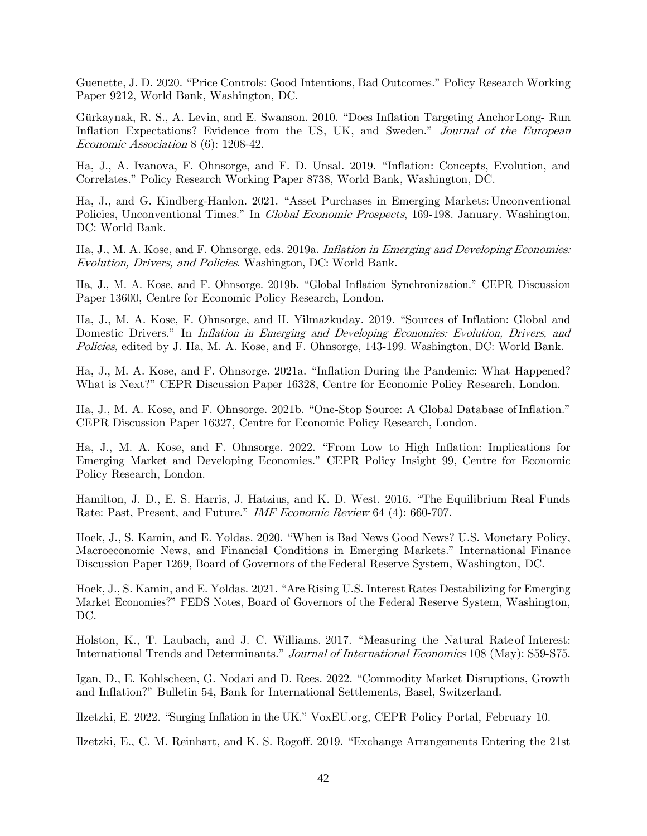Guenette, J. D. 2020. "Price Controls: Good Intentions, Bad Outcomes." Policy Research Working Paper 9212, World Bank, Washington, DC.

Gürkaynak, R. S., A. Levin, and E. Swanson. 2010. "Does Inflation Targeting AnchorLong- Run Inflation Expectations? Evidence from the US, UK, and Sweden." Journal of the European Economic Association 8 (6): 1208-42.

Ha, J., A. Ivanova, F. Ohnsorge, and F. D. Unsal. 2019. "Inflation: Concepts, Evolution, and Correlates." Policy Research Working Paper 8738, World Bank, Washington, DC.

Ha, J., and G. Kindberg-Hanlon. 2021. "Asset Purchases in Emerging Markets: Unconventional Policies, Unconventional Times." In *Global Economic Prospects*, 169-198. January. Washington, DC: World Bank.

Ha, J., M. A. Kose, and F. Ohnsorge, eds. 2019a. Inflation in Emerging and Developing Economies: Evolution, Drivers, and Policies. Washington, DC: World Bank.

Ha, J., M. A. Kose, and F. Ohnsorge. 2019b. "Global Inflation Synchronization." CEPR Discussion Paper 13600, Centre for Economic Policy Research, London.

Ha, J., M. A. Kose, F. Ohnsorge, and H. Yilmazkuday. 2019. "Sources of Inflation: Global and Domestic Drivers." In *Inflation in Emerging and Developing Economies: Evolution, Drivers, and* Policies, edited by J. Ha, M. A. Kose, and F. Ohnsorge, 143-199. Washington, DC: World Bank.

Ha, J., M. A. Kose, and F. Ohnsorge. 2021a. "Inflation During the Pandemic: What Happened? What is Next?" CEPR Discussion Paper 16328, Centre for Economic Policy Research, London.

Ha, J., M. A. Kose, and F. Ohnsorge. 2021b. "One-Stop Source: A Global Database ofInflation." CEPR Discussion Paper 16327, Centre for Economic Policy Research, London.

Ha, J., M. A. Kose, and F. Ohnsorge. 2022. "From Low to High Inflation: Implications for Emerging Market and Developing Economies." CEPR Policy Insight 99, Centre for Economic Policy Research, London.

Hamilton, J. D., E. S. Harris, J. Hatzius, and K. D. West. 2016. "The Equilibrium Real Funds Rate: Past, Present, and Future." IMF Economic Review 64 (4): 660-707.

Hoek, J., S. Kamin, and E. Yoldas. 2020. "When is Bad News Good News? U.S. Monetary Policy, Macroeconomic News, and Financial Conditions in Emerging Markets." International Finance Discussion Paper 1269, Board of Governors of theFederal Reserve System, Washington, DC.

Hoek, J., S. Kamin, and E. Yoldas. 2021. "Are Rising U.S. Interest Rates Destabilizing for Emerging Market Economies?" FEDS Notes, Board of Governors of the Federal Reserve System, Washington, DC.

Holston, K., T. Laubach, and J. C. Williams. 2017. "Measuring the Natural Rate of Interest: International Trends and Determinants." Journal of International Economics 108 (May): S59-S75.

Igan, D., E. Kohlscheen, G. Nodari and D. Rees. 2022. "Commodity Market Disruptions, Growth and Inflation?" Bulletin 54, Bank for International Settlements, Basel, Switzerland.

Ilzetzki, E. 2022. "Surging Inflation in the UK." VoxEU.org, CEPR Policy Portal, February 10.

Ilzetzki, E., C. M. Reinhart, and K. S. Rogoff. 2019. "Exchange Arrangements Entering the 21st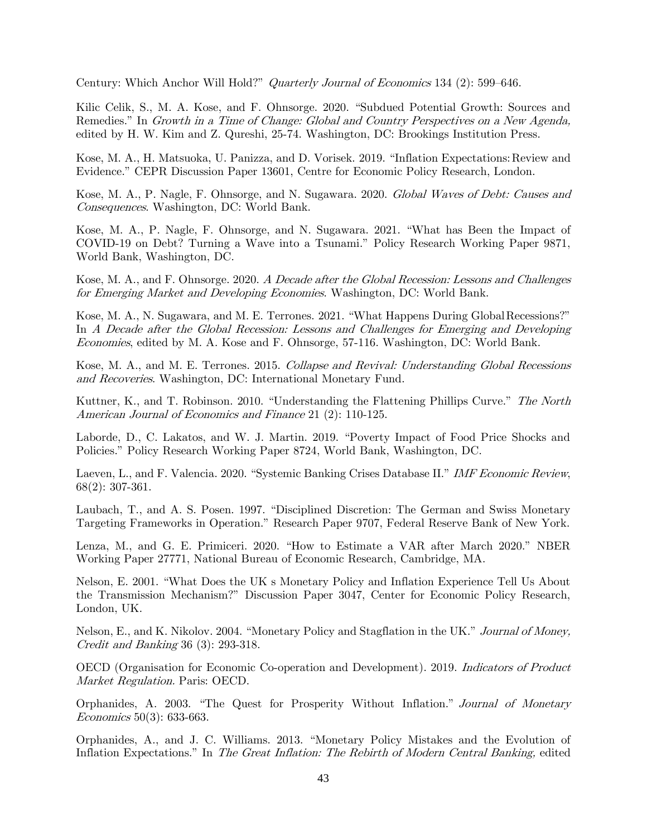Century: Which Anchor Will Hold?" Quarterly Journal of Economics 134 (2): 599–646.

Kilic Celik, S., M. A. Kose, and F. Ohnsorge. 2020. "Subdued Potential Growth: Sources and Remedies." In Growth in a Time of Change: Global and Country Perspectives on a New Agenda, edited by H. W. Kim and Z. Qureshi, 25-74. Washington, DC: Brookings Institution Press.

Kose, M. A., H. Matsuoka, U. Panizza, and D. Vorisek. 2019. "Inflation [Expectations:Review](https://cepr.org/active/publications/discussion_papers/dp.php?dpno=13601) and [Evidence](https://cepr.org/active/publications/discussion_papers/dp.php?dpno=13601)." CEPR Discussion Paper 13601, Centre for Economic Policy Research, London.

Kose, M. A., P. Nagle, F. Ohnsorge, and N. Sugawara. 2020. Global Waves of Debt: Causes and Consequences. Washington, DC: World Bank.

Kose, M. A., P. Nagle, F. Ohnsorge, and N. Sugawara. 2021. "What has Been the Impact of COVID-19 on Debt? Turning a Wave into a Tsunami." Policy Research Working Paper 9871, World Bank, Washington, DC.

Kose, M. A., and F. Ohnsorge. 2020. A Decade after the Global Recession: Lessons and Challenges for Emerging Market and Developing Economies. Washington, DC: World Bank.

Kose, M. A., N. Sugawara, and M. E. Terrones. 2021. "What [Happens](https://elibrary.worldbank.org/doi/10.1596/978-1-4648-1527-0_ch2) During Globa[lRecessions?](https://elibrary.worldbank.org/doi/10.1596/978-1-4648-1527-0_ch2)" In A Decade after the Global Recession: Lessons and Challenges for Emerging and Developing Economies, edited by M. A. Kose and F. Ohnsorge, 57-116. Washington, DC: World Bank.

Kose, M. A., and M. E. Terrones. 2015. Collapse and Revival: Understanding Global Recessions and Recoveries. Washington, DC: International Monetary Fund.

Kuttner, K., and T. Robinson. 2010. "Understanding the Flattening Phillips Curve." The North American Journal of Economics and Finance 21 (2): 110-125.

Laborde, D., C. Lakatos, and W. J. Martin. 2019. "Poverty Impact of Food Price Shocks and Policies." Policy Research Working Paper 8724, World Bank, Washington, DC.

Laeven, L., and F. Valencia. 2020. "Systemic Banking Crises Database II." IMF Economic Review, 68(2): 307-361.

Laubach, T., and A. S. Posen. 1997. "Disciplined Discretion: The German and Swiss Monetary Targeting Frameworks in Operation." Research Paper 9707, Federal Reserve Bank of New York.

Lenza, M., and G. E. Primiceri. 2020. "How to Estimate a VAR after March 2020." NBER Working Paper 27771, National Bureau of Economic Research, Cambridge, MA.

Nelson, E. 2001. "What Does the UK's Monetary Policy and Inflation Experience Tell Us About the Transmission Mechanism?" Discussion Paper 3047, Center for Economic Policy Research, London, UK.

Nelson, E., and K. Nikolov. 2004. "Monetary Policy and Stagflation in the UK." Journal of Money, Credit and Banking 36 (3): 293-318.

OECD (Organisation for Economic Co-operation and Development). 2019. Indicators of Product Market Regulation. Paris: OECD.

Orphanides, A. 2003. "The Quest for Prosperity Without Inflation." Journal of Monetary Economics 50(3): 633-663.

Orphanides, A., and J. C. Williams. 2013. "Monetary Policy Mistakes and the Evolution of Inflation Expectations." In The Great Inflation: The Rebirth of Modern Central Banking, edited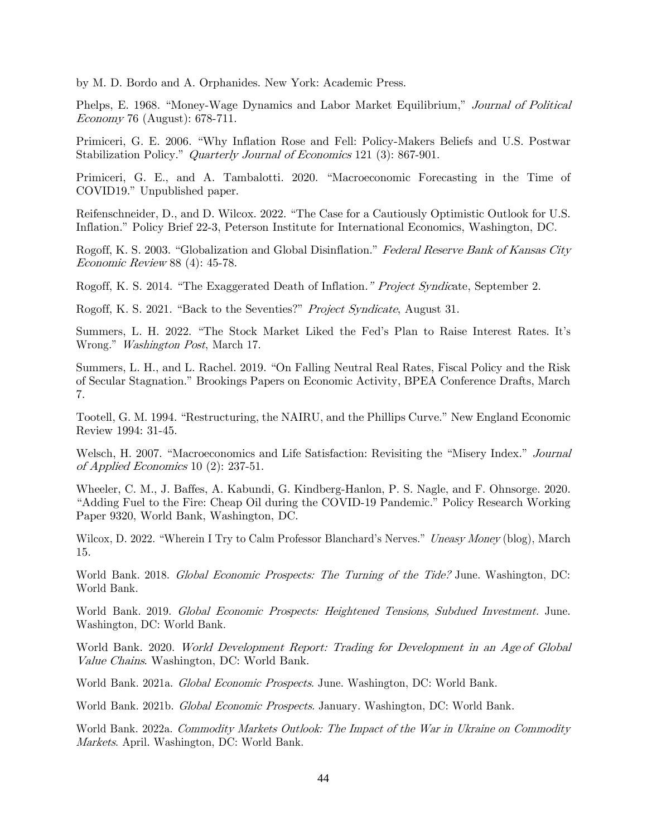by M. D. Bordo and A. Orphanides. New York: Academic Press.

Phelps, E. 1968. "Money-Wage Dynamics and Labor Market Equilibrium," Journal of Political Economy 76 (August): 678-711.

Primiceri, G. E. 2006. "Why Inflation Rose and Fell: Policy-Makers Beliefs and U.S. Postwar Stabilization Policy." *Quarterly Journal of Economics* 121 (3): 867-901.

Primiceri, G. E., and A. Tambalotti. 2020. "Macroeconomic Forecasting in the Time of COVID19." Unpublished paper.

Reifenschneider, D., and D. Wilcox. 2022. "[The Case for a Cautiously Optimistic](https://www.piie.com/publications/policy-briefs/case-cautiously-optimistic-outlook-us-inflation) [Outlook for U.S.](https://www.piie.com/publications/policy-briefs/case-cautiously-optimistic-outlook-us-inflation)  [Inflation](https://www.piie.com/publications/policy-briefs/case-cautiously-optimistic-outlook-us-inflation)." Policy Brief 22-3, Peterson Institute for International Economics, Washington, DC.

Rogoff, K. S. 2003. "Globalization and Global Disinflation." Federal Reserve Bank of Kansas City Economic Review 88 (4): 45-78.

Rogoff, K. S. 2014. "[The Exaggerated Death](https://www.project-syndicate.org/commentary/kenneth-rogoff-debunks-rumors-of-the-demise-of-threats-to-price-stability) of Inflation." Project Syndicate, September 2.

Rogoff, K. S. 2021. "Back to the Seventies?" Project Syndicate, August 31.

Summers, L. H. 2022. "The Stock Market Liked the Fed's Plan to Raise [Interest](https://www.washingtonpost.com/opinions/2022/03/17/larry-summers-fed-interest-rates-inflation/) Rates. [It's](https://www.washingtonpost.com/opinions/2022/03/17/larry-summers-fed-interest-rates-inflation/) [Wrong](https://www.washingtonpost.com/opinions/2022/03/17/larry-summers-fed-interest-rates-inflation/)." Washington Post, March 17.

Summers, L. H., and L. Rachel. 2019. "On Falling Neutral Real Rates, Fiscal Policy and the Risk of Secular Stagnation." Brookings Papers on Economic Activity, BPEA Conference Drafts, March 7.

Tootell, G. M. 1994. "Restructuring, the NAIRU, and the Phillips Curve." New England Economic Review 1994: 31-45.

Welsch, H. 2007. "Macroeconomics and Life Satisfaction: Revisiting the "Misery Index." Journal of Applied Economics 10 (2): 237-51.

Wheeler, C. M., J. Baffes, A. Kabundi, G. Kindberg-Hanlon, P. S. Nagle, and F. Ohnsorge. 2020. "Adding Fuel to the Fire: Cheap Oil during the COVID-19 Pandemic." Policy Research Working Paper 9320, World Bank, Washington, DC.

Wilcox, D. 2022. "Wherein I Try to Calm Professor Blanchard's Nerves." Uneasy Money (blog), March 15.

World Bank. 2018. Global Economic Prospects: The Turning of the Tide? June. Washington, DC: World Bank.

World Bank. 2019. Global Economic Prospects: Heightened Tensions, Subdued Investment. June. Washington, DC: World Bank.

World Bank. 2020. World Development Report: Trading for Development in an Age of Global Value Chains. Washington, DC: World Bank.

World Bank. 2021a. Global Economic Prospects. June. Washington, DC: World Bank.

World Bank. 2021b. Global Economic Prospects. January. Washington, DC: World Bank.

World Bank. 2022a. Commodity Markets Outlook: The Impact of the War in Ukraine on Commodity Markets. April. Washington, DC: World Bank.